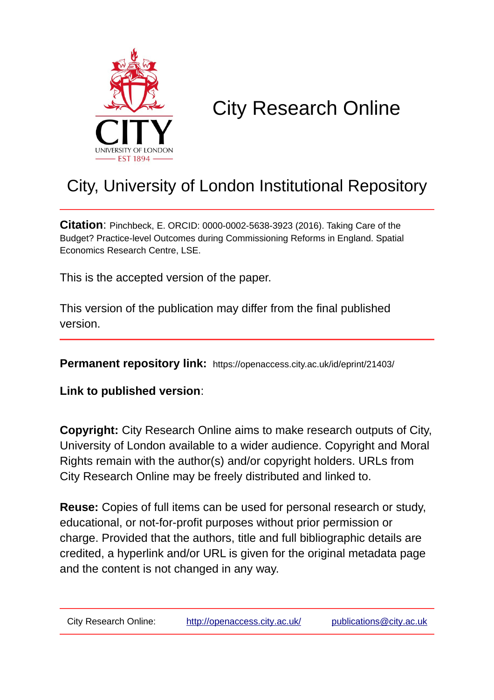

# City Research Online

# City, University of London Institutional Repository

**Citation**: Pinchbeck, E. ORCID: 0000-0002-5638-3923 (2016). Taking Care of the Budget? Practice-level Outcomes during Commissioning Reforms in England. Spatial Economics Research Centre, LSE.

This is the accepted version of the paper.

This version of the publication may differ from the final published version.

**Permanent repository link:** https://openaccess.city.ac.uk/id/eprint/21403/

**Link to published version**:

**Copyright:** City Research Online aims to make research outputs of City, University of London available to a wider audience. Copyright and Moral Rights remain with the author(s) and/or copyright holders. URLs from City Research Online may be freely distributed and linked to.

**Reuse:** Copies of full items can be used for personal research or study, educational, or not-for-profit purposes without prior permission or charge. Provided that the authors, title and full bibliographic details are credited, a hyperlink and/or URL is given for the original metadata page and the content is not changed in any way.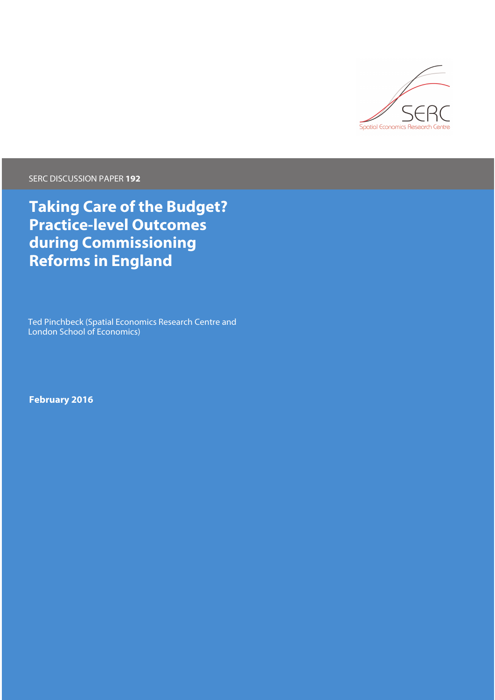

SERC DISCUSSION PAPER **192**

**Taking Care of the Budget? Practice-level Outcomes during Commissioning Reforms in England**

Ted Pinchbeck (Spatial Economics Research Centre and London School of Economics)

**February 2016**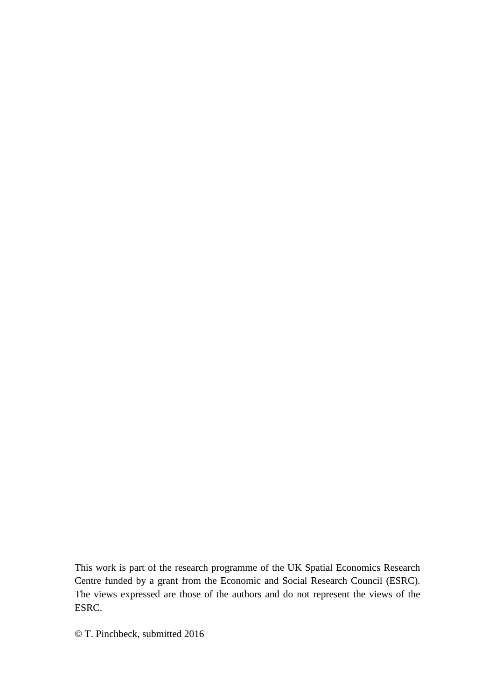This work is part of the research programme of the UK Spatial Economics Research Centre funded by a grant from the Economic and Social Research Council (ESRC). The views expressed are those of the authors and do not represent the views of the ESRC.

© T. Pinchbeck, submitted 2016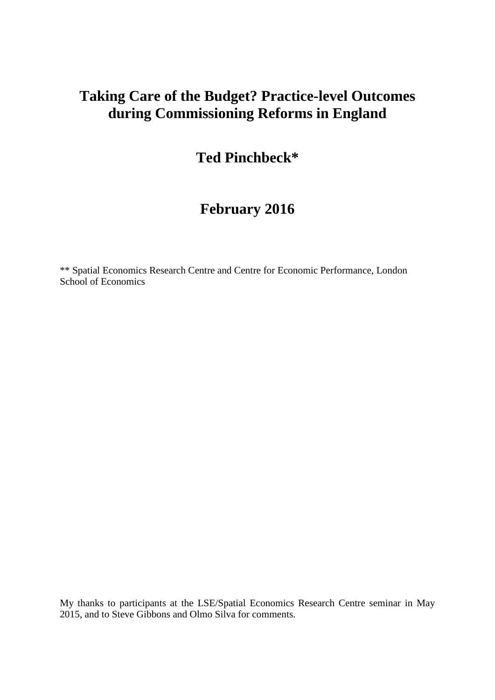## **Taking Care of the Budget? Practice-level Outcomes during Commissioning Reforms in England**

## **Ted Pinchbeck\***

# **February 2016**

\*\* Spatial Economics Research Centre and Centre for Economic Performance, London School of Economics

My thanks to participants at the LSE/Spatial Economics Research Centre seminar in May 2015, and to Steve Gibbons and Olmo Silva for comments.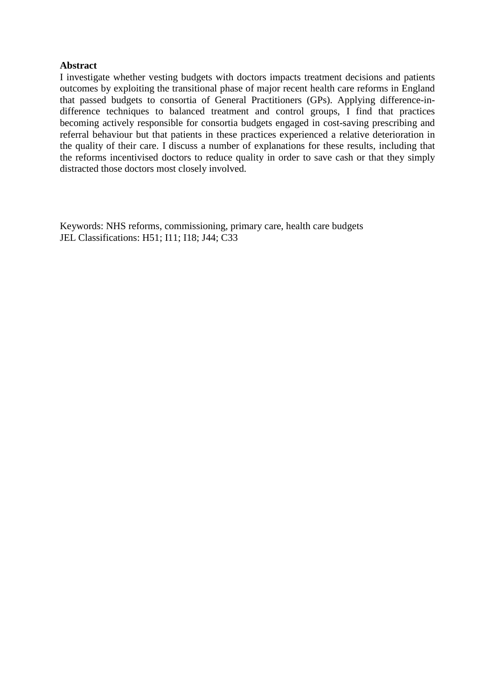### **Abstract**

I investigate whether vesting budgets with doctors impacts treatment decisions and patients outcomes by exploiting the transitional phase of major recent health care reforms in England that passed budgets to consortia of General Practitioners (GPs). Applying difference-indifference techniques to balanced treatment and control groups, I find that practices becoming actively responsible for consortia budgets engaged in cost-saving prescribing and referral behaviour but that patients in these practices experienced a relative deterioration in the quality of their care. I discuss a number of explanations for these results, including that the reforms incentivised doctors to reduce quality in order to save cash or that they simply distracted those doctors most closely involved.

Keywords: NHS reforms, commissioning, primary care, health care budgets JEL Classifications: H51; I11; I18; J44; C33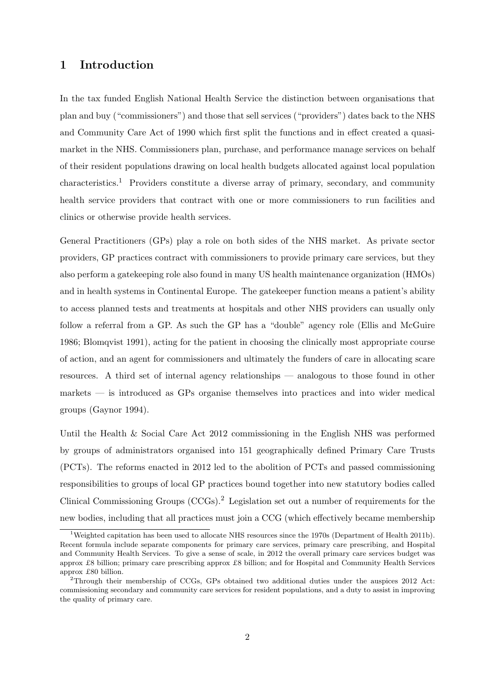## 1 Introduction

In the tax funded English National Health Service the distinction between organisations that plan and buy ("commissioners") and those that sell services ("providers") dates back to the NHS and Community Care Act of 1990 which first split the functions and in effect created a quasimarket in the NHS. Commissioners plan, purchase, and performance manage services on behalf of their resident populations drawing on local health budgets allocated against local population characteristics.[1](#page-5-0) Providers constitute a diverse array of primary, secondary, and community health service providers that contract with one or more commissioners to run facilities and clinics or otherwise provide health services.

General Practitioners (GPs) play a role on both sides of the NHS market. As private sector providers, GP practices contract with commissioners to provide primary care services, but they also perform a gatekeeping role also found in many US health maintenance organization (HMOs) and in health systems in Continental Europe. The gatekeeper function means a patient's ability to access planned tests and treatments at hospitals and other NHS providers can usually only follow a referral from a GP. As such the GP has a "double" agency role (Ellis and McGuire [1986;](#page-34-0) Blomqvist [1991\)](#page-33-0), acting for the patient in choosing the clinically most appropriate course of action, and an agent for commissioners and ultimately the funders of care in allocating scare resources. A third set of internal agency relationships — analogous to those found in other markets — is introduced as GPs organise themselves into practices and into wider medical groups (Gaynor [1994\)](#page-34-1).

Until the Health & Social Care Act 2012 commissioning in the English NHS was performed by groups of administrators organised into 151 geographically defined Primary Care Trusts (PCTs). The reforms enacted in 2012 led to the abolition of PCTs and passed commissioning responsibilities to groups of local GP practices bound together into new statutory bodies called Clinical Commissioning Groups (CCGs).[2](#page-5-1) Legislation set out a number of requirements for the new bodies, including that all practices must join a CCG (which effectively became membership

<span id="page-5-0"></span><sup>1</sup>Weighted capitation has been used to allocate NHS resources since the 1970s (Department of Health [2011b\)](#page-34-2). Recent formula include separate components for primary care services, primary care prescribing, and Hospital and Community Health Services. To give a sense of scale, in 2012 the overall primary care services budget was approx £8 billion; primary care prescribing approx £8 billion; and for Hospital and Community Health Services approx £80 billion.

<span id="page-5-1"></span><sup>2</sup>Through their membership of CCGs, GPs obtained two additional duties under the auspices 2012 Act: commissioning secondary and community care services for resident populations, and a duty to assist in improving the quality of primary care.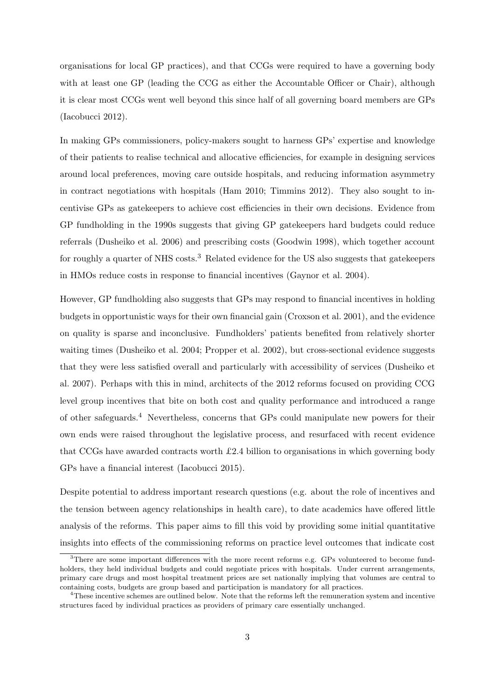organisations for local GP practices), and that CCGs were required to have a governing body with at least one GP (leading the CCG as either the Accountable Officer or Chair), although it is clear most CCGs went well beyond this since half of all governing board members are GPs (Iacobucci [2012\)](#page-35-0).

In making GPs commissioners, policy-makers sought to harness GPs' expertise and knowledge of their patients to realise technical and allocative efficiencies, for example in designing services around local preferences, moving care outside hospitals, and reducing information asymmetry in contract negotiations with hospitals (Ham [2010;](#page-34-3) Timmins [2012\)](#page-36-0). They also sought to incentivise GPs as gatekeepers to achieve cost efficiencies in their own decisions. Evidence from GP fundholding in the 1990s suggests that giving GP gatekeepers hard budgets could reduce referrals (Dusheiko et al. [2006\)](#page-34-4) and prescribing costs (Goodwin [1998\)](#page-34-5), which together account for roughly a quarter of NHS costs.<sup>[3](#page-6-0)</sup> Related evidence for the US also suggests that gatekeepers in HMOs reduce costs in response to financial incentives (Gaynor et al. [2004\)](#page-34-6).

However, GP fundholding also suggests that GPs may respond to financial incentives in holding budgets in opportunistic ways for their own financial gain (Croxson et al. [2001\)](#page-33-1), and the evidence on quality is sparse and inconclusive. Fundholders' patients benefited from relatively shorter waiting times (Dusheiko et al. [2004;](#page-34-7) Propper et al. [2002\)](#page-35-1), but cross-sectional evidence suggests that they were less satisfied overall and particularly with accessibility of services (Dusheiko et al. [2007\)](#page-34-8). Perhaps with this in mind, architects of the 2012 reforms focused on providing CCG level group incentives that bite on both cost and quality performance and introduced a range of other safeguards.[4](#page-6-1) Nevertheless, concerns that GPs could manipulate new powers for their own ends were raised throughout the legislative process, and resurfaced with recent evidence that CCGs have awarded contracts worth £2.4 billion to organisations in which governing body GPs have a financial interest (Iacobucci [2015\)](#page-35-2).

Despite potential to address important research questions (e.g. about the role of incentives and the tension between agency relationships in health care), to date academics have offered little analysis of the reforms. This paper aims to fill this void by providing some initial quantitative insights into effects of the commissioning reforms on practice level outcomes that indicate cost

<span id="page-6-0"></span><sup>&</sup>lt;sup>3</sup>There are some important differences with the more recent reforms e.g. GPs volunteered to become fundholders, they held individual budgets and could negotiate prices with hospitals. Under current arrangements, primary care drugs and most hospital treatment prices are set nationally implying that volumes are central to containing costs, budgets are group based and participation is mandatory for all practices.

<span id="page-6-1"></span><sup>4</sup>These incentive schemes are outlined below. Note that the reforms left the remuneration system and incentive structures faced by individual practices as providers of primary care essentially unchanged.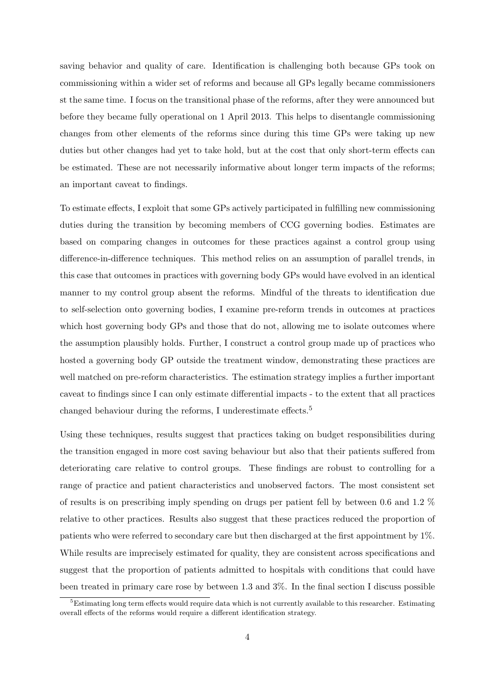saving behavior and quality of care. Identification is challenging both because GPs took on commissioning within a wider set of reforms and because all GPs legally became commissioners st the same time. I focus on the transitional phase of the reforms, after they were announced but before they became fully operational on 1 April 2013. This helps to disentangle commissioning changes from other elements of the reforms since during this time GPs were taking up new duties but other changes had yet to take hold, but at the cost that only short-term effects can be estimated. These are not necessarily informative about longer term impacts of the reforms; an important caveat to findings.

To estimate effects, I exploit that some GPs actively participated in fulfilling new commissioning duties during the transition by becoming members of CCG governing bodies. Estimates are based on comparing changes in outcomes for these practices against a control group using difference-in-difference techniques. This method relies on an assumption of parallel trends, in this case that outcomes in practices with governing body GPs would have evolved in an identical manner to my control group absent the reforms. Mindful of the threats to identification due to self-selection onto governing bodies, I examine pre-reform trends in outcomes at practices which host governing body GPs and those that do not, allowing me to isolate outcomes where the assumption plausibly holds. Further, I construct a control group made up of practices who hosted a governing body GP outside the treatment window, demonstrating these practices are well matched on pre-reform characteristics. The estimation strategy implies a further important caveat to findings since I can only estimate differential impacts - to the extent that all practices changed behaviour during the reforms, I underestimate effects.<sup>[5](#page-7-0)</sup>

Using these techniques, results suggest that practices taking on budget responsibilities during the transition engaged in more cost saving behaviour but also that their patients suffered from deteriorating care relative to control groups. These findings are robust to controlling for a range of practice and patient characteristics and unobserved factors. The most consistent set of results is on prescribing imply spending on drugs per patient fell by between 0.6 and 1.2 % relative to other practices. Results also suggest that these practices reduced the proportion of patients who were referred to secondary care but then discharged at the first appointment by 1%. While results are imprecisely estimated for quality, they are consistent across specifications and suggest that the proportion of patients admitted to hospitals with conditions that could have been treated in primary care rose by between 1.3 and 3%. In the final section I discuss possible

<span id="page-7-0"></span> ${}^{5}$ Estimating long term effects would require data which is not currently available to this researcher. Estimating overall effects of the reforms would require a different identification strategy.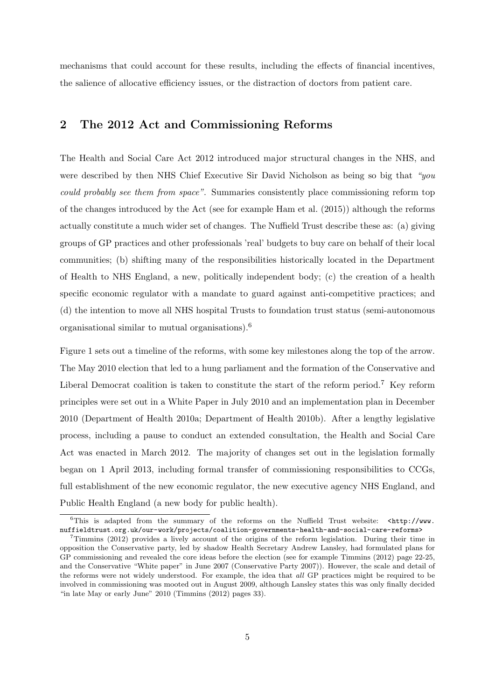mechanisms that could account for these results, including the effects of financial incentives, the salience of allocative efficiency issues, or the distraction of doctors from patient care.

## 2 The 2012 Act and Commissioning Reforms

The Health and Social Care Act 2012 introduced major structural changes in the NHS, and were described by then NHS Chief Executive Sir David Nicholson as being so big that "you could probably see them from space". Summaries consistently place commissioning reform top of the changes introduced by the Act (see for example Ham et al. [\(2015\)](#page-34-9)) although the reforms actually constitute a much wider set of changes. The Nuffield Trust describe these as: (a) giving groups of GP practices and other professionals 'real' budgets to buy care on behalf of their local communities; (b) shifting many of the responsibilities historically located in the Department of Health to NHS England, a new, politically independent body; (c) the creation of a health specific economic regulator with a mandate to guard against anti-competitive practices; and (d) the intention to move all NHS hospital Trusts to foundation trust status (semi-autonomous organisational similar to mutual organisations).[6](#page-8-0)

Figure [1](#page-9-0) sets out a timeline of the reforms, with some key milestones along the top of the arrow. The May 2010 election that led to a hung parliament and the formation of the Conservative and Liberal Democrat coalition is taken to constitute the start of the reform period.<sup>[7](#page-8-1)</sup> Key reform principles were set out in a White Paper in July 2010 and an implementation plan in December 2010 (Department of Health [2010a;](#page-33-2) Department of Health [2010b\)](#page-34-10). After a lengthy legislative process, including a pause to conduct an extended consultation, the Health and Social Care Act was enacted in March 2012. The majority of changes set out in the legislation formally began on 1 April 2013, including formal transfer of commissioning responsibilities to CCGs, full establishment of the new economic regulator, the new executive agency NHS England, and Public Health England (a new body for public health).

<span id="page-8-0"></span> $6$ This is adapted from the summary of the reforms on the Nuffield Trust website:  $\langle$ http://www. [nuffieldtrust.org.uk/our-work/projects/coalition-governments-health-and-social-care-reforms>](<http://www.nuffieldtrust.org.uk/our-work/projects/coalition-governments-health-and-social-care-reforms>)

<span id="page-8-1"></span><sup>7</sup>Timmins [\(2012\)](#page-36-0) provides a lively account of the origins of the reform legislation. During their time in opposition the Conservative party, led by shadow Health Secretary Andrew Lansley, had formulated plans for GP commissioning and revealed the core ideas before the election (see for example Timmins [\(2012\)](#page-36-0) page 22-25, and the Conservative "White paper" in June 2007 (Conservative Party [2007\)](#page-33-3)). However, the scale and detail of the reforms were not widely understood. For example, the idea that all GP practices might be required to be involved in commissioning was mooted out in August 2009, although Lansley states this was only finally decided "in late May or early June" 2010 (Timmins [\(2012\)](#page-36-0) pages 33).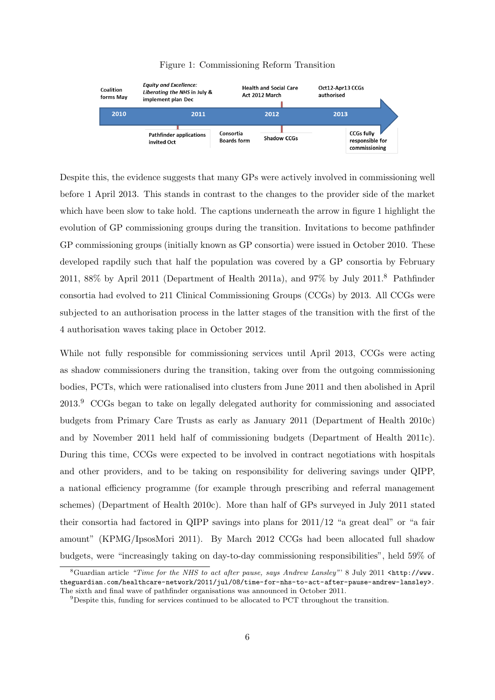<span id="page-9-0"></span>

#### Figure 1: Commissioning Reform Transition

Despite this, the evidence suggests that many GPs were actively involved in commissioning well before 1 April 2013. This stands in contrast to the changes to the provider side of the market which have been slow to take hold. The captions underneath the arrow in figure [1](#page-9-0) highlight the evolution of GP commissioning groups during the transition. Invitations to become pathfinder GP commissioning groups (initially known as GP consortia) were issued in October 2010. These developed rapdily such that half the population was covered by a GP consortia by February 2011, 88% by April 2011 (Department of Health [2011a\)](#page-34-11), and 97% by July 2011.<sup>[8](#page-9-1)</sup> Pathfinder consortia had evolved to 211 Clinical Commissioning Groups (CCGs) by 2013. All CCGs were subjected to an authorisation process in the latter stages of the transition with the first of the 4 authorisation waves taking place in October 2012.

While not fully responsible for commissioning services until April 2013, CCGs were acting as shadow commissioners during the transition, taking over from the outgoing commissioning bodies, PCTs, which were rationalised into clusters from June 2011 and then abolished in April 2013.[9](#page-9-2) CCGs began to take on legally delegated authority for commissioning and associated budgets from Primary Care Trusts as early as January 2011 (Department of Health [2010c\)](#page-34-12) and by November 2011 held half of commissioning budgets (Department of Health [2011c\)](#page-34-13). During this time, CCGs were expected to be involved in contract negotiations with hospitals and other providers, and to be taking on responsibility for delivering savings under QIPP, a national efficiency programme (for example through prescribing and referral management schemes) (Department of Health [2010c\)](#page-34-12). More than half of GPs surveyed in July 2011 stated their consortia had factored in QIPP savings into plans for 2011/12 "a great deal" or "a fair amount" (KPMG/IpsosMori [2011\)](#page-35-3). By March 2012 CCGs had been allocated full shadow budgets, were "increasingly taking on day-to-day commissioning responsibilities", held 59% of

<span id="page-9-1"></span> $8$ Guardian article "Time for the NHS to act after pause, says Andrew Lansley"' 8 July 2011 [<http://www.](<http://www.theguardian.com/healthcare-network/2011/jul/08/time-for-nhs-to-act-after-pause-andrew-lansley>) [theguardian.com/healthcare-network/2011/jul/08/time-for-nhs-to-act-after-pause-andrew-lansley>](<http://www.theguardian.com/healthcare-network/2011/jul/08/time-for-nhs-to-act-after-pause-andrew-lansley>). The sixth and final wave of pathfinder organisations was announced in October 2011.

<span id="page-9-2"></span><sup>9</sup>Despite this, funding for services continued to be allocated to PCT throughout the transition.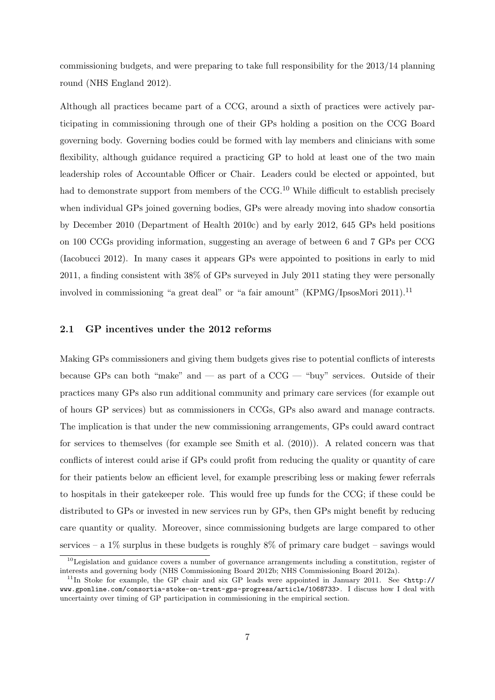commissioning budgets, and were preparing to take full responsibility for the 2013/14 planning round (NHS England [2012\)](#page-35-4).

Although all practices became part of a CCG, around a sixth of practices were actively participating in commissioning through one of their GPs holding a position on the CCG Board governing body. Governing bodies could be formed with lay members and clinicians with some flexibility, although guidance required a practicing GP to hold at least one of the two main leadership roles of Accountable Officer or Chair. Leaders could be elected or appointed, but had to demonstrate support from members of the CCG.<sup>[10](#page-10-0)</sup> While difficult to establish precisely when individual GPs joined governing bodies, GPs were already moving into shadow consortia by December 2010 (Department of Health [2010c\)](#page-34-12) and by early 2012, 645 GPs held positions on 100 CCGs providing information, suggesting an average of between 6 and 7 GPs per CCG (Iacobucci [2012\)](#page-35-0). In many cases it appears GPs were appointed to positions in early to mid 2011, a finding consistent with 38% of GPs surveyed in July 2011 stating they were personally involved in commissioning "a great deal" or "a fair amount" (KPMG/IpsosMori [2011\)](#page-35-3).[11](#page-10-1)

#### 2.1 GP incentives under the 2012 reforms

Making GPs commissioners and giving them budgets gives rise to potential conflicts of interests because GPs can both "make" and  $-$  as part of a CCG  $-$  "buy" services. Outside of their practices many GPs also run additional community and primary care services (for example out of hours GP services) but as commissioners in CCGs, GPs also award and manage contracts. The implication is that under the new commissioning arrangements, GPs could award contract for services to themselves (for example see Smith et al. [\(2010\)](#page-36-1)). A related concern was that conflicts of interest could arise if GPs could profit from reducing the quality or quantity of care for their patients below an efficient level, for example prescribing less or making fewer referrals to hospitals in their gatekeeper role. This would free up funds for the CCG; if these could be distributed to GPs or invested in new services run by GPs, then GPs might benefit by reducing care quantity or quality. Moreover, since commissioning budgets are large compared to other services – a  $1\%$  surplus in these budgets is roughly  $8\%$  of primary care budget – savings would

<span id="page-10-0"></span> $10$ Legislation and guidance covers a number of governance arrangements including a constitution, register of interests and governing body (NHS Commissioning Board [2012b;](#page-35-5) NHS Commissioning Board [2012a\)](#page-35-6).

<span id="page-10-1"></span> $11$ In Stoke for example, the GP chair and six GP leads were appointed in January 2011. See [<http://](<http://www.gponline.com/consortia-stoke-on-trent-gps-progress/article/1068733>) [www.gponline.com/consortia-stoke-on-trent-gps-progress/article/1068733>](<http://www.gponline.com/consortia-stoke-on-trent-gps-progress/article/1068733>). I discuss how I deal with uncertainty over timing of GP participation in commissioning in the empirical section.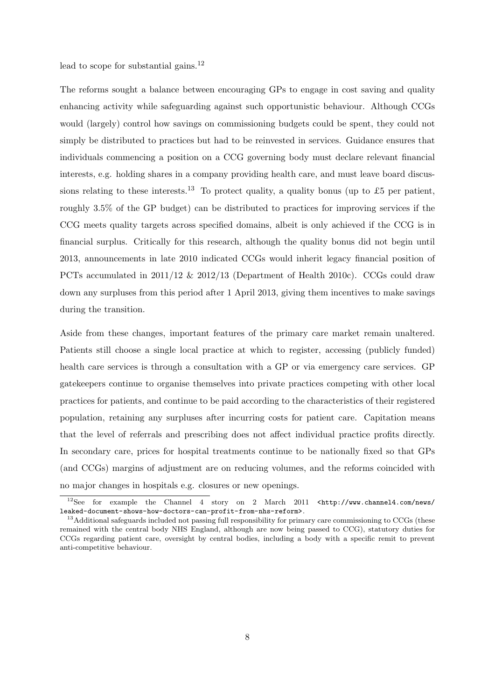lead to scope for substantial gains.<sup>[12](#page-11-0)</sup>

The reforms sought a balance between encouraging GPs to engage in cost saving and quality enhancing activity while safeguarding against such opportunistic behaviour. Although CCGs would (largely) control how savings on commissioning budgets could be spent, they could not simply be distributed to practices but had to be reinvested in services. Guidance ensures that individuals commencing a position on a CCG governing body must declare relevant financial interests, e.g. holding shares in a company providing health care, and must leave board discus-sions relating to these interests.<sup>[13](#page-11-1)</sup> To protect quality, a quality bonus (up to £5 per patient, roughly 3.5% of the GP budget) can be distributed to practices for improving services if the CCG meets quality targets across specified domains, albeit is only achieved if the CCG is in financial surplus. Critically for this research, although the quality bonus did not begin until 2013, announcements in late 2010 indicated CCGs would inherit legacy financial position of PCTs accumulated in 2011/12 & 2012/13 (Department of Health [2010c\)](#page-34-12). CCGs could draw down any surpluses from this period after 1 April 2013, giving them incentives to make savings during the transition.

Aside from these changes, important features of the primary care market remain unaltered. Patients still choose a single local practice at which to register, accessing (publicly funded) health care services is through a consultation with a GP or via emergency care services. GP gatekeepers continue to organise themselves into private practices competing with other local practices for patients, and continue to be paid according to the characteristics of their registered population, retaining any surpluses after incurring costs for patient care. Capitation means that the level of referrals and prescribing does not affect individual practice profits directly. In secondary care, prices for hospital treatments continue to be nationally fixed so that GPs (and CCGs) margins of adjustment are on reducing volumes, and the reforms coincided with no major changes in hospitals e.g. closures or new openings.

<span id="page-11-0"></span> $12$ See for example the Channel 4 story on 2 March 2011 [<http://www.channel4.com/news/](<http://www.channel4.com/news/leaked-document-shows-how-doctors-can-profit-from-nhs-reform>) [leaked-document-shows-how-doctors-can-profit-from-nhs-reform>](<http://www.channel4.com/news/leaked-document-shows-how-doctors-can-profit-from-nhs-reform>).

<span id="page-11-1"></span><sup>&</sup>lt;sup>13</sup>Additional safeguards included not passing full responsibility for primary care commissioning to CCGs (these remained with the central body NHS England, although are now being passed to CCG), statutory duties for CCGs regarding patient care, oversight by central bodies, including a body with a specific remit to prevent anti-competitive behaviour.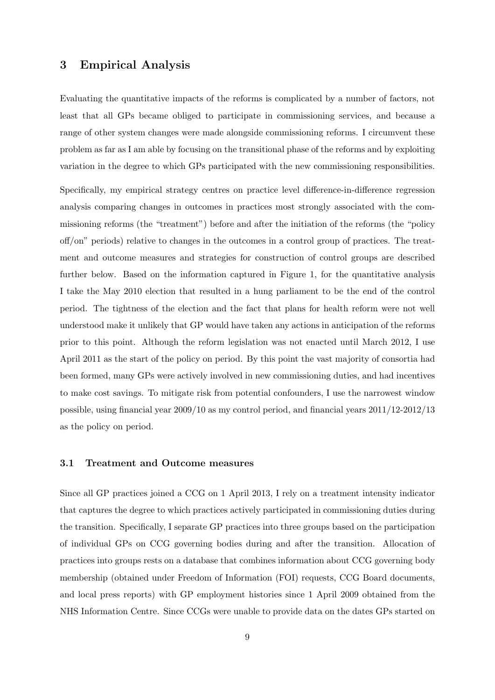## 3 Empirical Analysis

Evaluating the quantitative impacts of the reforms is complicated by a number of factors, not least that all GPs became obliged to participate in commissioning services, and because a range of other system changes were made alongside commissioning reforms. I circumvent these problem as far as I am able by focusing on the transitional phase of the reforms and by exploiting variation in the degree to which GPs participated with the new commissioning responsibilities.

Specifically, my empirical strategy centres on practice level difference-in-difference regression analysis comparing changes in outcomes in practices most strongly associated with the commissioning reforms (the "treatment") before and after the initiation of the reforms (the "policy off/on" periods) relative to changes in the outcomes in a control group of practices. The treatment and outcome measures and strategies for construction of control groups are described further below. Based on the information captured in Figure [1,](#page-9-0) for the quantitative analysis I take the May 2010 election that resulted in a hung parliament to be the end of the control period. The tightness of the election and the fact that plans for health reform were not well understood make it unlikely that GP would have taken any actions in anticipation of the reforms prior to this point. Although the reform legislation was not enacted until March 2012, I use April 2011 as the start of the policy on period. By this point the vast majority of consortia had been formed, many GPs were actively involved in new commissioning duties, and had incentives to make cost savings. To mitigate risk from potential confounders, I use the narrowest window possible, using financial year 2009/10 as my control period, and financial years 2011/12-2012/13 as the policy on period.

#### 3.1 Treatment and Outcome measures

Since all GP practices joined a CCG on 1 April 2013, I rely on a treatment intensity indicator that captures the degree to which practices actively participated in commissioning duties during the transition. Specifically, I separate GP practices into three groups based on the participation of individual GPs on CCG governing bodies during and after the transition. Allocation of practices into groups rests on a database that combines information about CCG governing body membership (obtained under Freedom of Information (FOI) requests, CCG Board documents, and local press reports) with GP employment histories since 1 April 2009 obtained from the NHS Information Centre. Since CCGs were unable to provide data on the dates GPs started on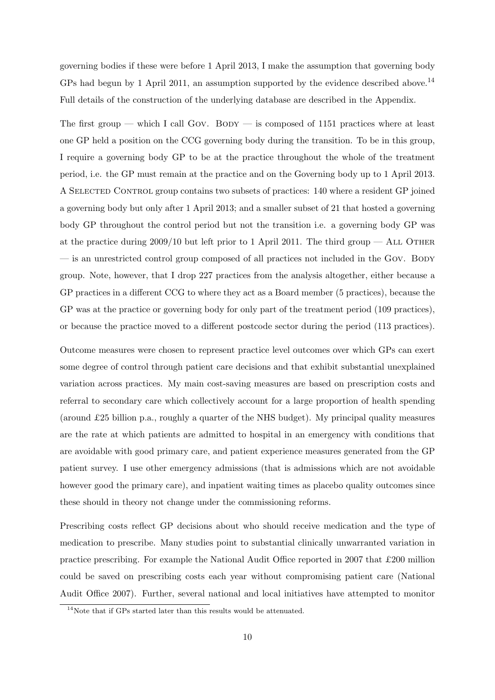governing bodies if these were before 1 April 2013, I make the assumption that governing body GPs had begun by 1 April 2011, an assumption supported by the evidence described above.<sup>[14](#page-13-0)</sup> Full details of the construction of the underlying database are described in the Appendix.

The first group — which I call GOV. BODY — is composed of 1151 practices where at least one GP held a position on the CCG governing body during the transition. To be in this group, I require a governing body GP to be at the practice throughout the whole of the treatment period, i.e. the GP must remain at the practice and on the Governing body up to 1 April 2013. A Selected Control group contains two subsets of practices: 140 where a resident GP joined a governing body but only after 1 April 2013; and a smaller subset of 21 that hosted a governing body GP throughout the control period but not the transition i.e. a governing body GP was at the practice during  $2009/10$  but left prior to 1 April 2011. The third group — ALL OTHER — is an unrestricted control group composed of all practices not included in the Gov. BODY group. Note, however, that I drop 227 practices from the analysis altogether, either because a GP practices in a different CCG to where they act as a Board member (5 practices), because the GP was at the practice or governing body for only part of the treatment period (109 practices), or because the practice moved to a different postcode sector during the period (113 practices).

Outcome measures were chosen to represent practice level outcomes over which GPs can exert some degree of control through patient care decisions and that exhibit substantial unexplained variation across practices. My main cost-saving measures are based on prescription costs and referral to secondary care which collectively account for a large proportion of health spending (around £25 billion p.a., roughly a quarter of the NHS budget). My principal quality measures are the rate at which patients are admitted to hospital in an emergency with conditions that are avoidable with good primary care, and patient experience measures generated from the GP patient survey. I use other emergency admissions (that is admissions which are not avoidable however good the primary care), and inpatient waiting times as placebo quality outcomes since these should in theory not change under the commissioning reforms.

Prescribing costs reflect GP decisions about who should receive medication and the type of medication to prescribe. Many studies point to substantial clinically unwarranted variation in practice prescribing. For example the National Audit Office reported in 2007 that  $\pounds 200$  million could be saved on prescribing costs each year without compromising patient care (National Audit Office [2007\)](#page-35-7). Further, several national and local initiatives have attempted to monitor

<span id="page-13-0"></span><sup>14</sup>Note that if GPs started later than this results would be attenuated.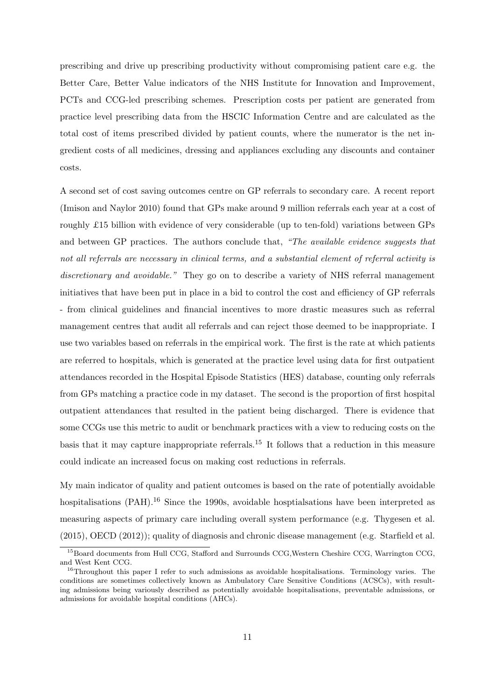prescribing and drive up prescribing productivity without compromising patient care e.g. the Better Care, Better Value indicators of the NHS Institute for Innovation and Improvement, PCTs and CCG-led prescribing schemes. Prescription costs per patient are generated from practice level prescribing data from the HSCIC Information Centre and are calculated as the total cost of items prescribed divided by patient counts, where the numerator is the net ingredient costs of all medicines, dressing and appliances excluding any discounts and container costs.

A second set of cost saving outcomes centre on GP referrals to secondary care. A recent report (Imison and Naylor [2010\)](#page-35-8) found that GPs make around 9 million referrals each year at a cost of roughly £15 billion with evidence of very considerable (up to ten-fold) variations between GPs and between GP practices. The authors conclude that, "The available evidence suggests that not all referrals are necessary in clinical terms, and a substantial element of referral activity is discretionary and avoidable." They go on to describe a variety of NHS referral management initiatives that have been put in place in a bid to control the cost and efficiency of GP referrals - from clinical guidelines and financial incentives to more drastic measures such as referral management centres that audit all referrals and can reject those deemed to be inappropriate. I use two variables based on referrals in the empirical work. The first is the rate at which patients are referred to hospitals, which is generated at the practice level using data for first outpatient attendances recorded in the Hospital Episode Statistics (HES) database, counting only referrals from GPs matching a practice code in my dataset. The second is the proportion of first hospital outpatient attendances that resulted in the patient being discharged. There is evidence that some CCGs use this metric to audit or benchmark practices with a view to reducing costs on the basis that it may capture inappropriate referrals.[15](#page-14-0) It follows that a reduction in this measure could indicate an increased focus on making cost reductions in referrals.

My main indicator of quality and patient outcomes is based on the rate of potentially avoidable hospitalisations (PAH).<sup>[16](#page-14-1)</sup> Since the 1990s, avoidable hosptialsations have been interpreted as measuring aspects of primary care including overall system performance (e.g. Thygesen et al. [\(2015\)](#page-36-2), OECD [\(2012\)](#page-35-9)); quality of diagnosis and chronic disease management (e.g. Starfield et al.

<span id="page-14-0"></span><sup>&</sup>lt;sup>15</sup>Board documents from Hull CCG, Stafford and Surrounds CCG, Western Cheshire CCG, Warrington CCG, and West Kent CCG.

<span id="page-14-1"></span> $16$ Throughout this paper I refer to such admissions as avoidable hospitalisations. Terminology varies. The conditions are sometimes collectively known as Ambulatory Care Sensitive Conditions (ACSCs), with resulting admissions being variously described as potentially avoidable hospitalisations, preventable admissions, or admissions for avoidable hospital conditions (AHCs).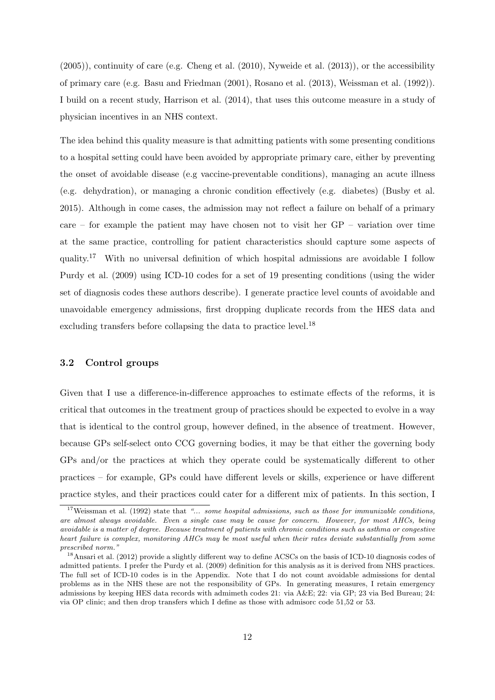[\(2005\)](#page-36-3)), continuity of care (e.g. Cheng et al. [\(2010\)](#page-33-4), Nyweide et al. [\(2013\)](#page-35-10)), or the accessibility of primary care (e.g. Basu and Friedman [\(2001\)](#page-33-5), Rosano et al. [\(2013\)](#page-36-4), Weissman et al. [\(1992\)](#page-36-5)). I build on a recent study, Harrison et al. [\(2014\)](#page-34-14), that uses this outcome measure in a study of physician incentives in an NHS context.

The idea behind this quality measure is that admitting patients with some presenting conditions to a hospital setting could have been avoided by appropriate primary care, either by preventing the onset of avoidable disease (e.g vaccine-preventable conditions), managing an acute illness (e.g. dehydration), or managing a chronic condition effectively (e.g. diabetes) (Busby et al. [2015\)](#page-33-6). Although in come cases, the admission may not reflect a failure on behalf of a primary care – for example the patient may have chosen not to visit her  $GP -$  variation over time at the same practice, controlling for patient characteristics should capture some aspects of quality.<sup>[17](#page-15-0)</sup> With no universal definition of which hospital admissions are avoidable I follow Purdy et al. [\(2009\)](#page-35-11) using ICD-10 codes for a set of 19 presenting conditions (using the wider set of diagnosis codes these authors describe). I generate practice level counts of avoidable and unavoidable emergency admissions, first dropping duplicate records from the HES data and excluding transfers before collapsing the data to practice level.<sup>[18](#page-15-1)</sup>

#### 3.2 Control groups

Given that I use a difference-in-difference approaches to estimate effects of the reforms, it is critical that outcomes in the treatment group of practices should be expected to evolve in a way that is identical to the control group, however defined, in the absence of treatment. However, because GPs self-select onto CCG governing bodies, it may be that either the governing body GPs and/or the practices at which they operate could be systematically different to other practices – for example, GPs could have different levels or skills, experience or have different practice styles, and their practices could cater for a different mix of patients. In this section, I

<span id="page-15-0"></span><sup>&</sup>lt;sup>17</sup>Weissman et al. [\(1992\)](#page-36-5) state that "... some hospital admissions, such as those for immunizable conditions, are almost always avoidable. Even a single case may be cause for concern. However, for most AHCs, being avoidable is a matter of degree. Because treatment of patients with chronic conditions such as asthma or congestive heart failure is complex, monitoring AHCs may be most useful when their rates deviate substantially from some prescribed norm."

<span id="page-15-1"></span><sup>&</sup>lt;sup>18</sup>Ansari et al. [\(2012\)](#page-33-7) provide a slightly different way to define ACSCs on the basis of ICD-10 diagnosis codes of admitted patients. I prefer the Purdy et al. [\(2009\)](#page-35-11) definition for this analysis as it is derived from NHS practices. The full set of ICD-10 codes is in the Appendix. Note that I do not count avoidable admissions for dental problems as in the NHS these are not the responsibility of GPs. In generating measures, I retain emergency admissions by keeping HES data records with admimeth codes 21: via A&E; 22: via GP; 23 via Bed Bureau; 24: via OP clinic; and then drop transfers which I define as those with admisorc code 51,52 or 53.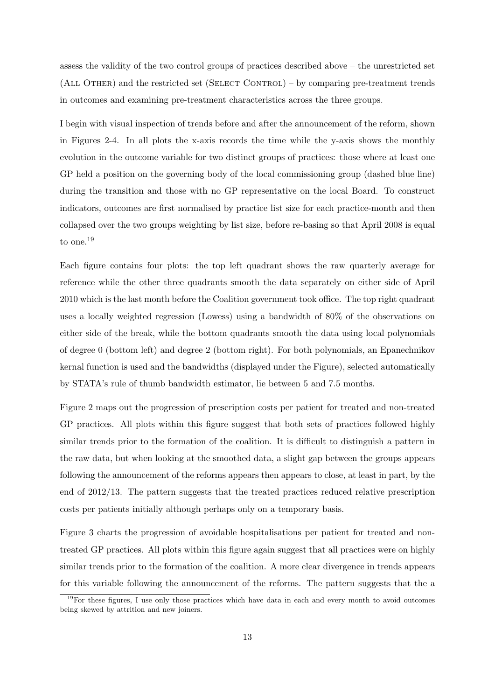assess the validity of the two control groups of practices described above – the unrestricted set  $(ALL$  OTHER) and the restricted set  $(SELECT$  CONTROL $)$  – by comparing pre-treatment trends in outcomes and examining pre-treatment characteristics across the three groups.

I begin with visual inspection of trends before and after the announcement of the reform, shown in Figures [2](#page-17-0)[-4.](#page-18-0) In all plots the x-axis records the time while the y-axis shows the monthly evolution in the outcome variable for two distinct groups of practices: those where at least one GP held a position on the governing body of the local commissioning group (dashed blue line) during the transition and those with no GP representative on the local Board. To construct indicators, outcomes are first normalised by practice list size for each practice-month and then collapsed over the two groups weighting by list size, before re-basing so that April 2008 is equal to one.[19](#page-16-0)

Each figure contains four plots: the top left quadrant shows the raw quarterly average for reference while the other three quadrants smooth the data separately on either side of April 2010 which is the last month before the Coalition government took office. The top right quadrant uses a locally weighted regression (Lowess) using a bandwidth of 80% of the observations on either side of the break, while the bottom quadrants smooth the data using local polynomials of degree 0 (bottom left) and degree 2 (bottom right). For both polynomials, an Epanechnikov kernal function is used and the bandwidths (displayed under the Figure), selected automatically by STATA's rule of thumb bandwidth estimator, lie between 5 and 7.5 months.

Figure [2](#page-17-0) maps out the progression of prescription costs per patient for treated and non-treated GP practices. All plots within this figure suggest that both sets of practices followed highly similar trends prior to the formation of the coalition. It is difficult to distinguish a pattern in the raw data, but when looking at the smoothed data, a slight gap between the groups appears following the announcement of the reforms appears then appears to close, at least in part, by the end of 2012/13. The pattern suggests that the treated practices reduced relative prescription costs per patients initially although perhaps only on a temporary basis.

Figure [3](#page-18-1) charts the progression of avoidable hospitalisations per patient for treated and nontreated GP practices. All plots within this figure again suggest that all practices were on highly similar trends prior to the formation of the coalition. A more clear divergence in trends appears for this variable following the announcement of the reforms. The pattern suggests that the a

<span id="page-16-0"></span><sup>19</sup>For these figures, I use only those practices which have data in each and every month to avoid outcomes being skewed by attrition and new joiners.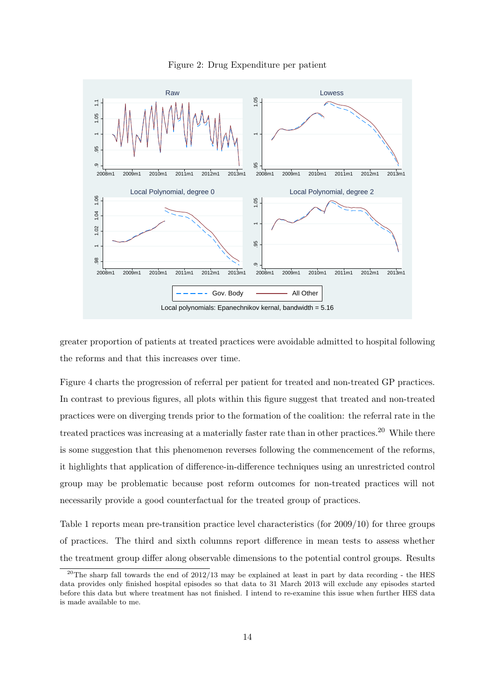

<span id="page-17-0"></span>

greater proportion of patients at treated practices were avoidable admitted to hospital following the reforms and that this increases over time.

Figure [4](#page-18-0) charts the progression of referral per patient for treated and non-treated GP practices. In contrast to previous figures, all plots within this figure suggest that treated and non-treated practices were on diverging trends prior to the formation of the coalition: the referral rate in the treated practices was increasing at a materially faster rate than in other practices.<sup>[20](#page-17-1)</sup> While there is some suggestion that this phenomenon reverses following the commencement of the reforms, it highlights that application of difference-in-difference techniques using an unrestricted control group may be problematic because post reform outcomes for non-treated practices will not necessarily provide a good counterfactual for the treated group of practices.

Table [1](#page-19-0) reports mean pre-transition practice level characteristics (for 2009/10) for three groups of practices. The third and sixth columns report difference in mean tests to assess whether the treatment group differ along observable dimensions to the potential control groups. Results

<span id="page-17-1"></span> $^{20}$ The sharp fall towards the end of 2012/13 may be explained at least in part by data recording - the HES data provides only finished hospital episodes so that data to 31 March 2013 will exclude any episodes started before this data but where treatment has not finished. I intend to re-examine this issue when further HES data is made available to me.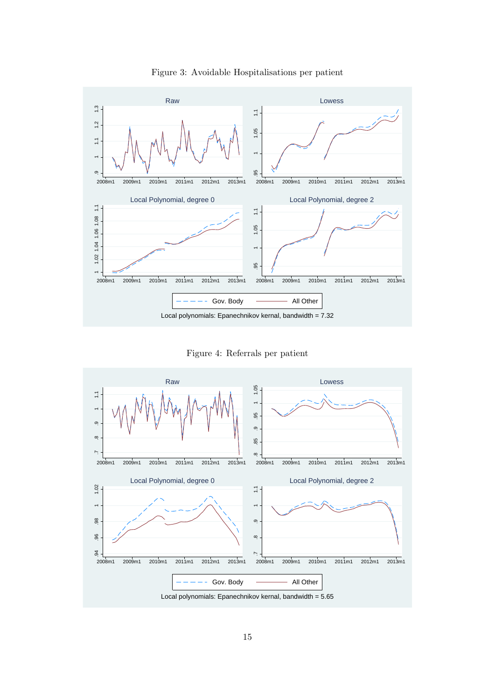<span id="page-18-1"></span>

Figure 3: Avoidable Hospitalisations per patient

Figure 4: Referrals per patient

<span id="page-18-0"></span>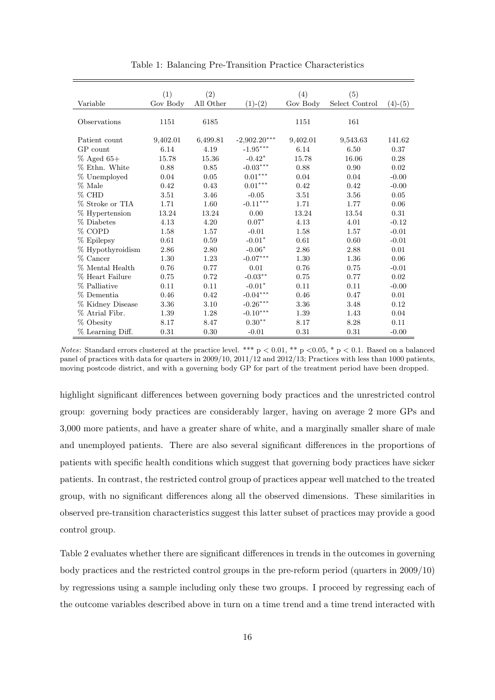<span id="page-19-0"></span>

|                  | (1)      | (2)       |                                 | (4)      | (5)            |           |
|------------------|----------|-----------|---------------------------------|----------|----------------|-----------|
| Variable         | Gov Body | All Other | $(1)-(2)$                       | Gov Body | Select Control | $(4)-(5)$ |
|                  |          |           |                                 |          |                |           |
| Observations     | 1151     | 6185      |                                 | 1151     | 161            |           |
| Patient count    | 9,402.01 | 6,499.81  | $-2,902.20***$                  | 9,402.01 | 9,543.63       | 141.62    |
| GP count         | 6.14     | 4.19      | $\textbf{-1.95}^{\ast\ast\ast}$ | 6.14     | 6.50           | 0.37      |
|                  |          |           |                                 |          |                |           |
| $%$ Aged 65+     | 15.78    | 15.36     | $-0.42*$                        | 15.78    | 16.06          | 0.28      |
| % Ethn. White    | 0.88     | 0.85      | $-0.03***$                      | 0.88     | 0.90           | 0.02      |
| % Unemployed     | 0.04     | 0.05      | $0.01^{\ast\ast\ast}$           | 0.04     | 0.04           | $-0.00$   |
| % Male           | 0.42     | 0.43      | $0.01***$                       | 0.42     | 0.42           | $-0.00$   |
| $\%$ CHD         | 3.51     | 3.46      | $-0.05$                         | 3.51     | 3.56           | 0.05      |
| % Stroke or TIA  | 1.71     | 1.60      | $\text{-}0.11^{\ast\ast\ast}$   | 1.71     | 1.77           | 0.06      |
| % Hypertension   | 13.24    | 13.24     | 0.00                            | 13.24    | 13.54          | 0.31      |
| % Diabetes       | 4.13     | 4.20      | $0.07*$                         | 4.13     | 4.01           | $-0.12$   |
| % COPD           | 1.58     | 1.57      | $-0.01$                         | 1.58     | 1.57           | $-0.01$   |
| % Epilepsy       | 0.61     | 0.59      | $-0.01*$                        | 0.61     | 0.60           | $-0.01$   |
| % Hypothyroidism | 2.86     | 2.80      | $-0.06*$                        | 2.86     | 2.88           | 0.01      |
| % Cancer         | 1.30     | 1.23      | $\textnormal{-}0.07***$         | 1.30     | 1.36           | 0.06      |
| % Mental Health  | 0.76     | 0.77      | 0.01                            | 0.76     | 0.75           | $-0.01$   |
| % Heart Failure  | 0.75     | 0.72      | $-0.03**$                       | 0.75     | 0.77           | 0.02      |
| % Palliative     | 0.11     | 0.11      | $-0.01*$                        | 0.11     | 0.11           | $-0.00$   |
| % Dementia       | 0.46     | 0.42      | $-0.04***$                      | 0.46     | 0.47           | 0.01      |
| % Kidney Disease | 3.36     | 3.10      | $-0.26***$                      | 3.36     | 3.48           | 0.12      |
| % Atrial Fibr.   | 1.39     | 1.28      | $-0.10***$                      | 1.39     | 1.43           | 0.04      |
| % Obesity        | 8.17     | 8.47      | $0.30**$                        | 8.17     | 8.28           | 0.11      |
| % Learning Diff. | 0.31     | 0.30      | $-0.01$                         | 0.31     | 0.31           | $-0.00$   |

Table 1: Balancing Pre-Transition Practice Characteristics

Notes: Standard errors clustered at the practice level. \*\*\*  $p < 0.01$ , \*\*  $p < 0.05$ , \*  $p < 0.1$ . Based on a balanced panel of practices with data for quarters in 2009/10, 2011/12 and 2012/13; Practices with less than 1000 patients, moving postcode district, and with a governing body GP for part of the treatment period have been dropped.

highlight significant differences between governing body practices and the unrestricted control group: governing body practices are considerably larger, having on average 2 more GPs and 3,000 more patients, and have a greater share of white, and a marginally smaller share of male and unemployed patients. There are also several significant differences in the proportions of patients with specific health conditions which suggest that governing body practices have sicker patients. In contrast, the restricted control group of practices appear well matched to the treated group, with no significant differences along all the observed dimensions. These similarities in observed pre-transition characteristics suggest this latter subset of practices may provide a good control group.

Table [2](#page-20-0) evaluates whether there are significant differences in trends in the outcomes in governing body practices and the restricted control groups in the pre-reform period (quarters in 2009/10) by regressions using a sample including only these two groups. I proceed by regressing each of the outcome variables described above in turn on a time trend and a time trend interacted with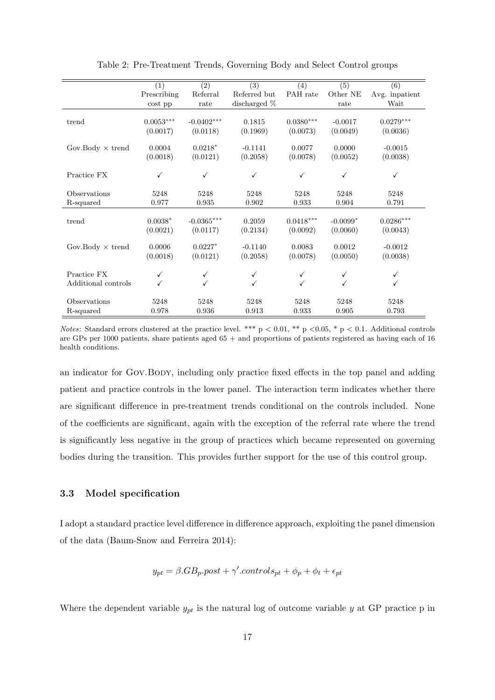<span id="page-20-0"></span>

|                         | (1)         | $\overline{(2)}$ | $\overline{(3)}$ | (4)          | $\overline{(5)}$ | (6)            |
|-------------------------|-------------|------------------|------------------|--------------|------------------|----------------|
|                         | Prescribing | Referral         | Referred but     | PAH rate     | Other NE         | Avg. inpatient |
|                         | $\cos t$ pp | rate             | discharged $%$   |              | rate             | Wait           |
|                         |             |                  |                  |              |                  |                |
| trend                   | $0.0053***$ | $-0.0402***$     | 0.1815           | $0.0380***$  | $-0.0017$        | $0.0279***$    |
|                         | (0.0017)    | (0.0118)         | (0.1969)         | (0.0073)     | (0.0049)         | (0.0036)       |
|                         |             |                  |                  |              |                  |                |
| Gov.Body $\times$ trend | 0.0004      | $0.0218*$        | $-0.1141$        | 0.0077       | 0.0000           | $-0.0015$      |
|                         | (0.0018)    | (0.0121)         | (0.2058)         | (0.0078)     | (0.0052)         | (0.0038)       |
| Practice FX             | √           | ✓                | $\checkmark$     | ✓            | ✓                | $\checkmark$   |
|                         |             |                  |                  |              |                  |                |
| Observations            | 5248        | 5248             | 5248             | 5248         | 5248             | 5248           |
| R-squared               | 0.977       | 0.935            | 0.902            | 0.933        | 0.904            | 0.791          |
|                         |             |                  |                  |              |                  |                |
| trend                   | $0.0038*$   | $-0.0365***$     | 0.2059           | $0.0418***$  | $-0.0099*$       | $0.0286***$    |
|                         | (0.0021)    | (0.0117)         | (0.2134)         | (0.0092)     | (0.0060)         | (0.0043)       |
| Gov.Body $\times$ trend | 0.0006      | $0.0227*$        | $-0.1140$        | 0.0083       | 0.0012           | $-0.0012$      |
|                         | (0.0018)    | (0.0121)         | (0.2058)         | (0.0078)     | (0.0050)         | (0.0038)       |
|                         |             |                  |                  |              |                  |                |
| Practice FX             | ✓           | ✓                | ✓                | $\checkmark$ |                  | $\checkmark$   |
| Additional controls     |             | $\checkmark$     | ✓                | ✓            | ✓                | $\checkmark$   |
|                         |             |                  |                  |              |                  |                |
| Observations            | 5248        | 5248             | 5248             | 5248         | 5248             | 5248           |
| R-squared               | 0.978       | 0.936            | 0.913            | 0.933        | 0.905            | 0.793          |

Table 2: Pre-Treatment Trends, Governing Body and Select Control groups

Notes: Standard errors clustered at the practice level. \*\*\*  $p < 0.01$ , \*\*  $p < 0.05$ , \*  $p < 0.1$ . Additional controls are GPs per 1000 patients, share patients aged 65 + and proportions of patients registered as having each of 16 health conditions.

an indicator for GOV.BODY, including only practice fixed effects in the top panel and adding patient and practice controls in the lower panel. The interaction term indicates whether there are significant difference in pre-treatment trends conditional on the controls included. None of the coefficients are significant, again with the exception of the referral rate where the trend is significantly less negative in the group of practices which became represented on governing bodies during the transition. This provides further support for the use of this control group.

### 3.3 Model specification

I adopt a standard practice level difference in difference approach, exploiting the panel dimension of the data (Baum-Snow and Ferreira [2014\)](#page-33-8):

$$
y_{pt} = \beta.GB_p.post + \gamma'.controls_{pt} + \phi_p + \phi_t + \epsilon_{pt}
$$

Where the dependent variable  $y_{pt}$  is the natural log of outcome variable y at GP practice p in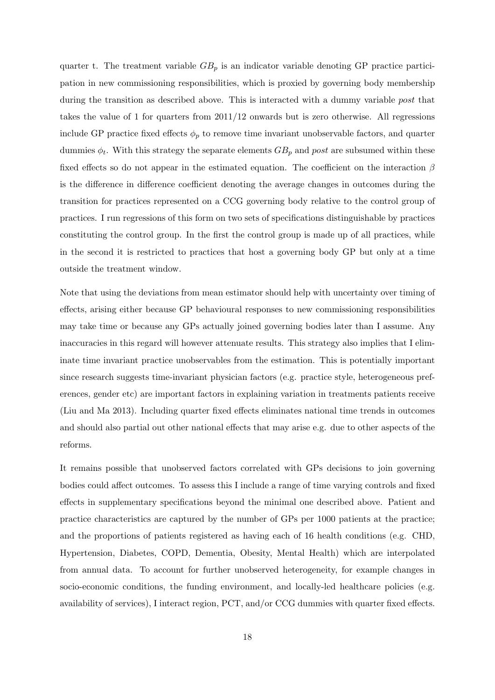quarter t. The treatment variable  $GB_p$  is an indicator variable denoting GP practice participation in new commissioning responsibilities, which is proxied by governing body membership during the transition as described above. This is interacted with a dummy variable *post* that takes the value of 1 for quarters from 2011/12 onwards but is zero otherwise. All regressions include GP practice fixed effects  $\phi_p$  to remove time invariant unobservable factors, and quarter dummies  $\phi_t$ . With this strategy the separate elements  $GB_p$  and post are subsumed within these fixed effects so do not appear in the estimated equation. The coefficient on the interaction  $\beta$ is the difference in difference coefficient denoting the average changes in outcomes during the transition for practices represented on a CCG governing body relative to the control group of practices. I run regressions of this form on two sets of specifications distinguishable by practices constituting the control group. In the first the control group is made up of all practices, while in the second it is restricted to practices that host a governing body GP but only at a time outside the treatment window.

Note that using the deviations from mean estimator should help with uncertainty over timing of effects, arising either because GP behavioural responses to new commissioning responsibilities may take time or because any GPs actually joined governing bodies later than I assume. Any inaccuracies in this regard will however attenuate results. This strategy also implies that I eliminate time invariant practice unobservables from the estimation. This is potentially important since research suggests time-invariant physician factors (e.g. practice style, heterogeneous preferences, gender etc) are important factors in explaining variation in treatments patients receive (Liu and Ma [2013\)](#page-35-12). Including quarter fixed effects eliminates national time trends in outcomes and should also partial out other national effects that may arise e.g. due to other aspects of the reforms.

It remains possible that unobserved factors correlated with GPs decisions to join governing bodies could affect outcomes. To assess this I include a range of time varying controls and fixed effects in supplementary specifications beyond the minimal one described above. Patient and practice characteristics are captured by the number of GPs per 1000 patients at the practice; and the proportions of patients registered as having each of 16 health conditions (e.g. CHD, Hypertension, Diabetes, COPD, Dementia, Obesity, Mental Health) which are interpolated from annual data. To account for further unobserved heterogeneity, for example changes in socio-economic conditions, the funding environment, and locally-led healthcare policies (e.g. availability of services), I interact region, PCT, and/or CCG dummies with quarter fixed effects.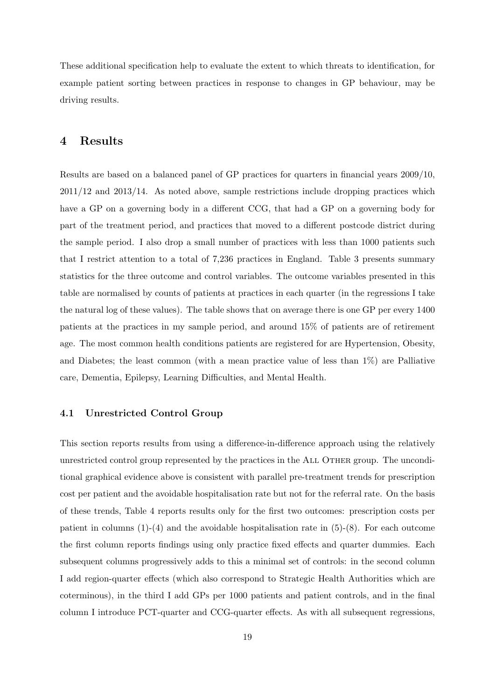These additional specification help to evaluate the extent to which threats to identification, for example patient sorting between practices in response to changes in GP behaviour, may be driving results.

## 4 Results

Results are based on a balanced panel of GP practices for quarters in financial years 2009/10, 2011/12 and 2013/14. As noted above, sample restrictions include dropping practices which have a GP on a governing body in a different CCG, that had a GP on a governing body for part of the treatment period, and practices that moved to a different postcode district during the sample period. I also drop a small number of practices with less than 1000 patients such that I restrict attention to a total of 7,236 practices in England. Table [3](#page-23-0) presents summary statistics for the three outcome and control variables. The outcome variables presented in this table are normalised by counts of patients at practices in each quarter (in the regressions I take the natural log of these values). The table shows that on average there is one GP per every 1400 patients at the practices in my sample period, and around 15% of patients are of retirement age. The most common health conditions patients are registered for are Hypertension, Obesity, and Diabetes; the least common (with a mean practice value of less than 1%) are Palliative care, Dementia, Epilepsy, Learning Difficulties, and Mental Health.

#### 4.1 Unrestricted Control Group

This section reports results from using a difference-in-difference approach using the relatively unrestricted control group represented by the practices in the ALL OTHER group. The unconditional graphical evidence above is consistent with parallel pre-treatment trends for prescription cost per patient and the avoidable hospitalisation rate but not for the referral rate. On the basis of these trends, Table [4](#page-25-0) reports results only for the first two outcomes: prescription costs per patient in columns  $(1)-(4)$  and the avoidable hospitalisation rate in  $(5)-(8)$ . For each outcome the first column reports findings using only practice fixed effects and quarter dummies. Each subsequent columns progressively adds to this a minimal set of controls: in the second column I add region-quarter effects (which also correspond to Strategic Health Authorities which are coterminous), in the third I add GPs per 1000 patients and patient controls, and in the final column I introduce PCT-quarter and CCG-quarter effects. As with all subsequent regressions,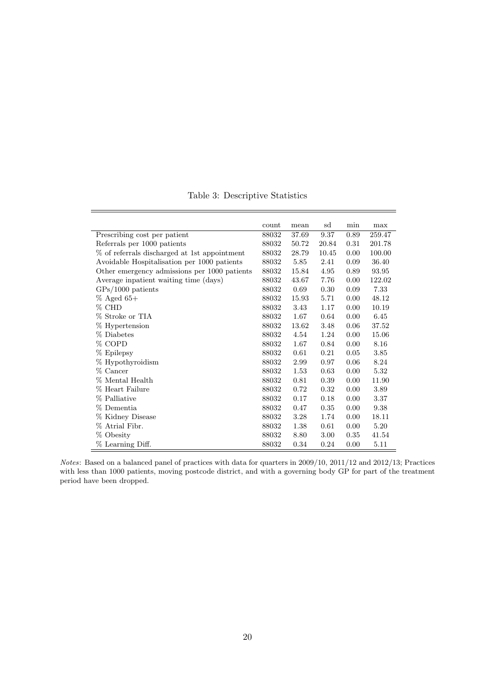<span id="page-23-0"></span>

|                                              | count | mean  | sd    | min  | max    |
|----------------------------------------------|-------|-------|-------|------|--------|
| Prescribing cost per patient                 | 88032 | 37.69 | 9.37  | 0.89 | 259.47 |
| Referrals per 1000 patients                  | 88032 | 50.72 | 20.84 | 0.31 | 201.78 |
| % of referrals discharged at 1st appointment | 88032 | 28.79 | 10.45 | 0.00 | 100.00 |
| Avoidable Hospitalisation per 1000 patients  | 88032 | 5.85  | 2.41  | 0.09 | 36.40  |
| Other emergency admissions per 1000 patients | 88032 | 15.84 | 4.95  | 0.89 | 93.95  |
| Average inpatient waiting time (days)        | 88032 | 43.67 | 7.76  | 0.00 | 122.02 |
| $\text{GPs}/1000$ patients                   | 88032 | 0.69  | 0.30  | 0.09 | 7.33   |
| $%$ Aged 65+                                 | 88032 | 15.93 | 5.71  | 0.00 | 48.12  |
| $%$ CHD                                      | 88032 | 3.43  | 1.17  | 0.00 | 10.19  |
| % Stroke or TIA                              | 88032 | 1.67  | 0.64  | 0.00 | 6.45   |
| % Hypertension                               | 88032 | 13.62 | 3.48  | 0.06 | 37.52  |
| % Diabetes                                   | 88032 | 4.54  | 1.24  | 0.00 | 15.06  |
| % COPD                                       | 88032 | 1.67  | 0.84  | 0.00 | 8.16   |
| % Epilepsy                                   | 88032 | 0.61  | 0.21  | 0.05 | 3.85   |
| % Hypothyroidism                             | 88032 | 2.99  | 0.97  | 0.06 | 8.24   |
| % Cancer                                     | 88032 | 1.53  | 0.63  | 0.00 | 5.32   |
| % Mental Health                              | 88032 | 0.81  | 0.39  | 0.00 | 11.90  |
| % Heart Failure                              | 88032 | 0.72  | 0.32  | 0.00 | 3.89   |
| % Palliative                                 | 88032 | 0.17  | 0.18  | 0.00 | 3.37   |
| % Dementia                                   | 88032 | 0.47  | 0.35  | 0.00 | 9.38   |
| % Kidney Disease                             | 88032 | 3.28  | 1.74  | 0.00 | 18.11  |
| % Atrial Fibr.                               | 88032 | 1.38  | 0.61  | 0.00 | 5.20   |
| % Obesity                                    | 88032 | 8.80  | 3.00  | 0.35 | 41.54  |
| % Learning Diff.                             | 88032 | 0.34  | 0.24  | 0.00 | 5.11   |

Table 3: Descriptive Statistics

Notes: Based on a balanced panel of practices with data for quarters in 2009/10, 2011/12 and 2012/13; Practices with less than 1000 patients, moving postcode district, and with a governing body GP for part of the treatment period have been dropped.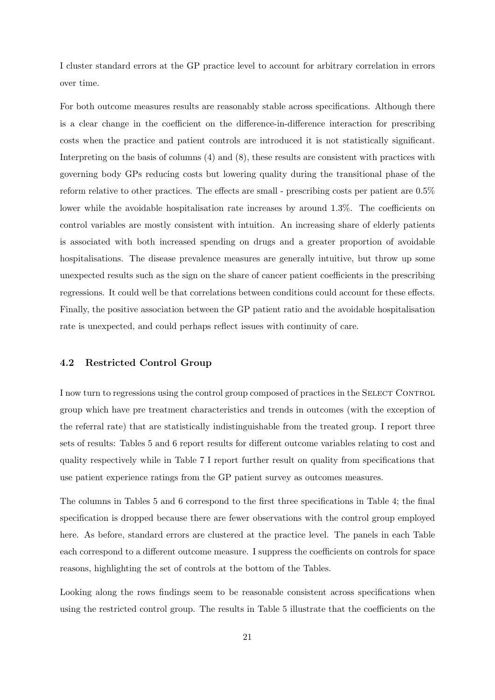I cluster standard errors at the GP practice level to account for arbitrary correlation in errors over time.

For both outcome measures results are reasonably stable across specifications. Although there is a clear change in the coefficient on the difference-in-difference interaction for prescribing costs when the practice and patient controls are introduced it is not statistically significant. Interpreting on the basis of columns (4) and (8), these results are consistent with practices with governing body GPs reducing costs but lowering quality during the transitional phase of the reform relative to other practices. The effects are small - prescribing costs per patient are 0.5% lower while the avoidable hospitalisation rate increases by around 1.3%. The coefficients on control variables are mostly consistent with intuition. An increasing share of elderly patients is associated with both increased spending on drugs and a greater proportion of avoidable hospitalisations. The disease prevalence measures are generally intuitive, but throw up some unexpected results such as the sign on the share of cancer patient coefficients in the prescribing regressions. It could well be that correlations between conditions could account for these effects. Finally, the positive association between the GP patient ratio and the avoidable hospitalisation rate is unexpected, and could perhaps reflect issues with continuity of care.

#### 4.2 Restricted Control Group

I now turn to regressions using the control group composed of practices in the SELECT CONTROL group which have pre treatment characteristics and trends in outcomes (with the exception of the referral rate) that are statistically indistinguishable from the treated group. I report three sets of results: Tables [5](#page-28-0) and [6](#page-28-0) report results for different outcome variables relating to cost and quality respectively while in Table [7](#page-29-0) I report further result on quality from specifications that use patient experience ratings from the GP patient survey as outcomes measures.

The columns in Tables [5](#page-28-0) and [6](#page-28-0) correspond to the first three specifications in Table [4;](#page-25-0) the final specification is dropped because there are fewer observations with the control group employed here. As before, standard errors are clustered at the practice level. The panels in each Table each correspond to a different outcome measure. I suppress the coefficients on controls for space reasons, highlighting the set of controls at the bottom of the Tables.

Looking along the rows findings seem to be reasonable consistent across specifications when using the restricted control group. The results in Table [5](#page-28-0) illustrate that the coefficients on the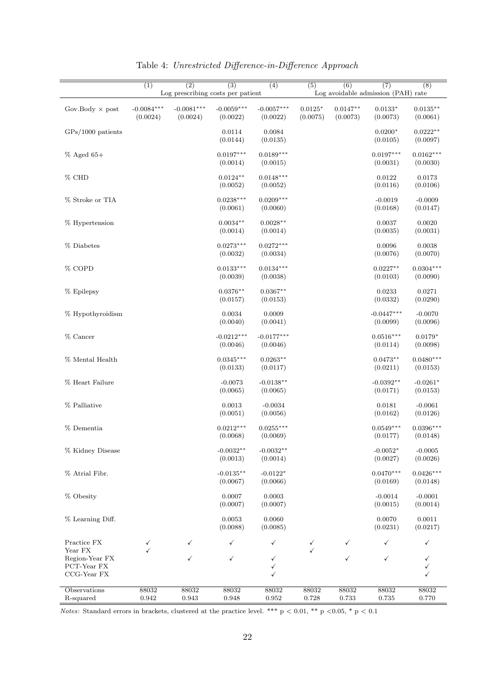<span id="page-25-0"></span>

|                                              | $\overline{(1)}$         | $\overline{(2)}$         | $\overline{(3)}$<br>Log prescribing costs per patient | $\overline{(4)}$         | (5)                   | (6)                    | (7)<br>Log avoidable admission (PAH) rate | (8)                     |
|----------------------------------------------|--------------------------|--------------------------|-------------------------------------------------------|--------------------------|-----------------------|------------------------|-------------------------------------------|-------------------------|
| Gov.Body $\times$ post                       | $-0.0084***$<br>(0.0024) | $-0.0081***$<br>(0.0024) | $-0.0059***$<br>(0.0022)                              | $-0.0057***$<br>(0.0022) | $0.0125*$<br>(0.0075) | $0.0147**$<br>(0.0073) | $0.0133^{\ast}$<br>(0.0073)               | $0.0135***$<br>(0.0061) |
| $GPs/1000$ patients                          |                          |                          | 0.0114<br>(0.0144)                                    | 0.0084<br>(0.0135)       |                       |                        | $0.0200*$<br>(0.0105)                     | $0.0222**$<br>(0.0097)  |
| $\%$ Aged 65+                                |                          |                          | $0.0197***$<br>(0.0014)                               | $0.0189***$<br>(0.0015)  |                       |                        | $0.0197***$<br>(0.0031)                   | $0.0162***$<br>(0.0030) |
| % CHD                                        |                          |                          | $0.0124**$<br>(0.0052)                                | $0.0148***$<br>(0.0052)  |                       |                        | 0.0122<br>(0.0116)                        | 0.0173<br>(0.0106)      |
| % Stroke or TIA                              |                          |                          | $0.0238***$<br>(0.0061)                               | $0.0209***$<br>(0.0060)  |                       |                        | $-0.0019$<br>(0.0168)                     | $-0.0009$<br>(0.0147)   |
| % Hypertension                               |                          |                          | $0.0034**$<br>(0.0014)                                | $0.0028**$<br>(0.0014)   |                       |                        | 0.0037<br>(0.0035)                        | 0.0020<br>(0.0031)      |
| % Diabetes                                   |                          |                          | $0.0273***$<br>(0.0032)                               | $0.0272***$<br>(0.0034)  |                       |                        | 0.0096<br>(0.0076)                        | 0.0038<br>(0.0070)      |
| % COPD                                       |                          |                          | $0.0133***$<br>(0.0039)                               | $0.0134***$<br>(0.0038)  |                       |                        | $0.0227**$<br>(0.0103)                    | $0.0304***$<br>(0.0090) |
| % Epilepsy                                   |                          |                          | $0.0376**$<br>(0.0157)                                | $0.0367**$<br>(0.0153)   |                       |                        | 0.0233<br>(0.0332)                        | 0.0271<br>(0.0290)      |
| $%$ Hypothyroidism                           |                          |                          | 0.0034<br>(0.0040)                                    | 0.0009<br>(0.0041)       |                       |                        | $-0.0447***$<br>(0.0099)                  | $-0.0070$<br>(0.0096)   |
| % Cancer                                     |                          |                          | $-0.0212***$<br>(0.0046)                              | $-0.0177***$<br>(0.0046) |                       |                        | $0.0516***$<br>(0.0114)                   | $0.0179*$<br>(0.0098)   |
| % Mental Health                              |                          |                          | $0.0345***$<br>(0.0133)                               | $0.0263**$<br>(0.0117)   |                       |                        | $0.0473**$<br>(0.0211)                    | $0.0480***$<br>(0.0153) |
| $\%$ Heart Failure                           |                          |                          | $-0.0073$<br>(0.0065)                                 | $-0.0138**$<br>(0.0065)  |                       |                        | $-0.0392**$<br>(0.0171)                   | $-0.0261*$<br>(0.0153)  |
| % Palliative                                 |                          |                          | 0.0013<br>(0.0051)                                    | $-0.0034$<br>(0.0056)    |                       |                        | 0.0181<br>(0.0162)                        | $-0.0061$<br>(0.0126)   |
| % Dementia                                   |                          |                          | $0.0212***$<br>(0.0068)                               | $0.0255***$<br>(0.0069)  |                       |                        | $0.0549***$<br>(0.0177)                   | $0.0396***$<br>(0.0148) |
| % Kidney Disease                             |                          |                          | $-0.0032**$<br>(0.0013)                               | $-0.0032**$<br>(0.0014)  |                       |                        | $-0.0052*$<br>(0.0027)                    | $-0.0005$<br>(0.0026)   |
| % Atrial Fibr.                               |                          |                          | $-0.0135**$<br>(0.0067)                               | $-0.0122*$<br>(0.0066)   |                       |                        | $0.0470***$<br>(0.0169)                   | $0.0426***$<br>(0.0148) |
| % Obesity                                    |                          |                          | 0.0007<br>(0.0007)                                    | 0.0003<br>(0.0007)       |                       |                        | $-0.0014$<br>(0.0015)                     | $-0.0001$<br>(0.0014)   |
| % Learning Diff.                             |                          |                          | 0.0053<br>(0.0088)                                    | 0.0060<br>(0.0085)       |                       |                        | 0.0070<br>(0.0231)                        | 0.0011<br>(0.0217)      |
| Practice FX<br>Year FX                       | $\checkmark$<br>✓        | ✓                        | ✓                                                     | ✓                        | ✓                     | ✓                      | ✓                                         | ✓                       |
| Region-Year FX<br>PCT-Year FX<br>CCG-Year FX |                          | ✓                        | ✓                                                     | ✓<br>✓<br>✓              |                       | $\checkmark$           | $\checkmark$                              | ✓<br>✓<br>✓             |
| Observations<br>R-squared                    | 88032<br>0.942           | 88032<br>0.943           | 88032<br>0.948                                        | 88032<br>0.952           | 88032<br>0.728        | 88032<br>0.733         | 88032<br>0.735                            | 88032<br>0.770          |

Table 4: Unrestricted Difference-in-Difference Approach

Notes: Standard errors in brackets, clustered at the practice level. \*\*\*  $p < 0.01$ , \*\*  $p < 0.05$ , \*  $p < 0.1$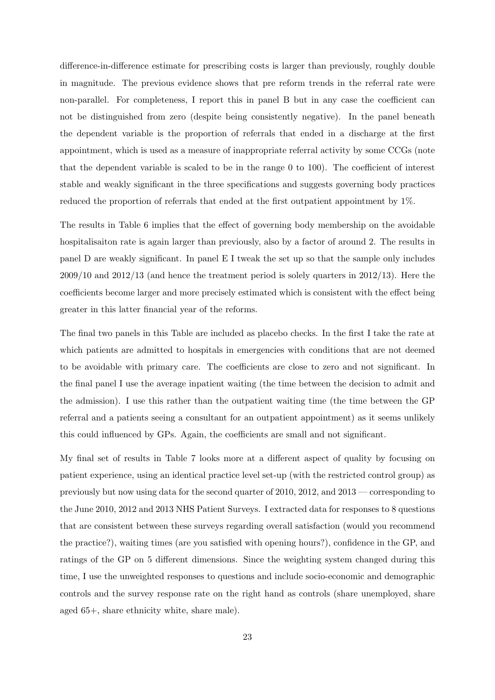difference-in-difference estimate for prescribing costs is larger than previously, roughly double in magnitude. The previous evidence shows that pre reform trends in the referral rate were non-parallel. For completeness, I report this in panel B but in any case the coefficient can not be distinguished from zero (despite being consistently negative). In the panel beneath the dependent variable is the proportion of referrals that ended in a discharge at the first appointment, which is used as a measure of inappropriate referral activity by some CCGs (note that the dependent variable is scaled to be in the range 0 to 100). The coefficient of interest stable and weakly significant in the three specifications and suggests governing body practices reduced the proportion of referrals that ended at the first outpatient appointment by 1%.

The results in Table [6](#page-28-0) implies that the effect of governing body membership on the avoidable hospitalisaiton rate is again larger than previously, also by a factor of around 2. The results in panel D are weakly significant. In panel E I tweak the set up so that the sample only includes  $2009/10$  and  $2012/13$  (and hence the treatment period is solely quarters in  $2012/13$ ). Here the coefficients become larger and more precisely estimated which is consistent with the effect being greater in this latter financial year of the reforms.

The final two panels in this Table are included as placebo checks. In the first I take the rate at which patients are admitted to hospitals in emergencies with conditions that are not deemed to be avoidable with primary care. The coefficients are close to zero and not significant. In the final panel I use the average inpatient waiting (the time between the decision to admit and the admission). I use this rather than the outpatient waiting time (the time between the GP referral and a patients seeing a consultant for an outpatient appointment) as it seems unlikely this could influenced by GPs. Again, the coefficients are small and not significant.

My final set of results in Table [7](#page-29-0) looks more at a different aspect of quality by focusing on patient experience, using an identical practice level set-up (with the restricted control group) as previously but now using data for the second quarter of 2010, 2012, and 2013 — corresponding to the June 2010, 2012 and 2013 NHS Patient Surveys. I extracted data for responses to 8 questions that are consistent between these surveys regarding overall satisfaction (would you recommend the practice?), waiting times (are you satisfied with opening hours?), confidence in the GP, and ratings of the GP on 5 different dimensions. Since the weighting system changed during this time, I use the unweighted responses to questions and include socio-economic and demographic controls and the survey response rate on the right hand as controls (share unemployed, share aged 65+, share ethnicity white, share male).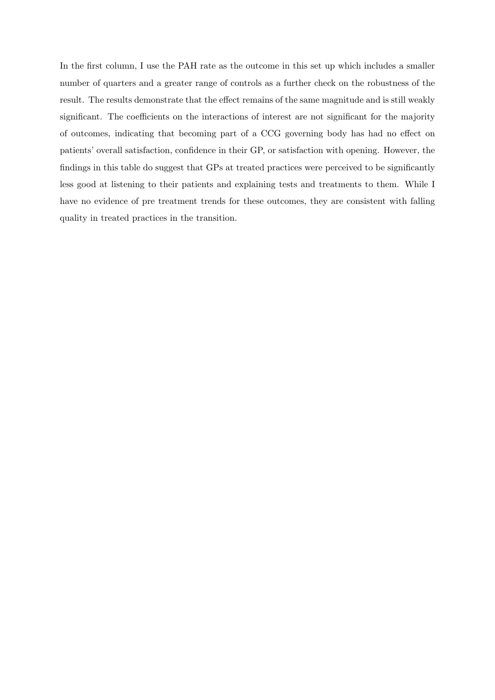In the first column, I use the PAH rate as the outcome in this set up which includes a smaller number of quarters and a greater range of controls as a further check on the robustness of the result. The results demonstrate that the effect remains of the same magnitude and is still weakly significant. The coefficients on the interactions of interest are not significant for the majority of outcomes, indicating that becoming part of a CCG governing body has had no effect on patients' overall satisfaction, confidence in their GP, or satisfaction with opening. However, the findings in this table do suggest that GPs at treated practices were perceived to be significantly less good at listening to their patients and explaining tests and treatments to them. While I have no evidence of pre treatment trends for these outcomes, they are consistent with falling quality in treated practices in the transition.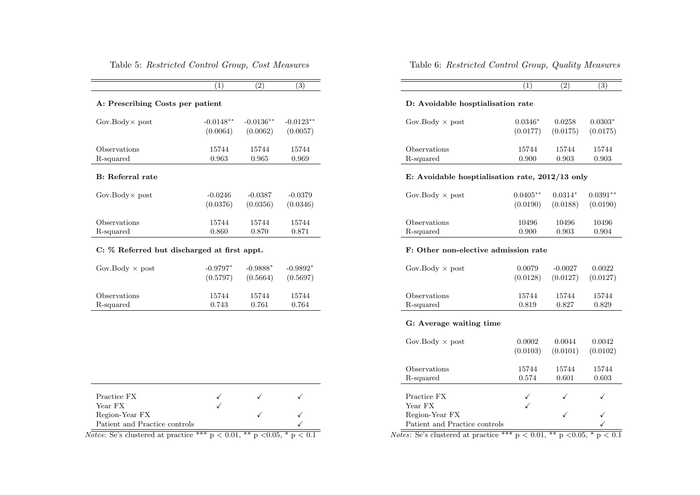#### <span id="page-28-0"></span>Table 5: Restricted Control Group, Cost Measures

|                                  | (1)         | (2)         | (3)          |  |  |  |  |
|----------------------------------|-------------|-------------|--------------|--|--|--|--|
| A: Prescribing Costs per patient |             |             |              |  |  |  |  |
| Gov.Body $\times$ post           | $-0.0148**$ | $-0.0136**$ | $-0.0123***$ |  |  |  |  |
|                                  | (0.0064)    | (0.0062)    | (0.0057)     |  |  |  |  |
| Observations                     | 15744       | 15744       | 15744        |  |  |  |  |
| R-squared                        | 0.963       | 0.965       | 0.969        |  |  |  |  |
| B: Referral rate                 |             |             |              |  |  |  |  |
| Gov.Body $\times$ post           | $-0.0246$   | $-0.0387$   | $-0.0379$    |  |  |  |  |
|                                  | (0.0376)    | (0.0356)    | (0.0346)     |  |  |  |  |
| Observations                     | 15744       | 15744       | 15744        |  |  |  |  |
| R-squared                        | 0.860       | 0.870       | 0.871        |  |  |  |  |

#### C: % Referred but discharged at first appt.

| Gov.Body $\times$ post | $-0.9797*$ | $-0.9888*$ | $-0.9892*$ |
|------------------------|------------|------------|------------|
|                        | (0.5797)   | (0.5664)   | (0.5697)   |
| Observations           | 15744      | 15744      | 15744      |
| R-squared              | 0.743      | 0.761      | 0.764      |

| Practice FX                                                                            |  |  |
|----------------------------------------------------------------------------------------|--|--|
| Year FX                                                                                |  |  |
| Region-Year FX                                                                         |  |  |
| Patient and Practice controls                                                          |  |  |
| <i>Notes</i> : Se's clustered at practice *** $p < 0.01$ , ** $p < 0.05$ , * $p < 0.1$ |  |  |

#### Table 6: Restricted Control Group, Quality Measures

#### D: Avoidable hosptialisation rate

| Gov.Body $\times$ post | $0.0346*$ | 0.0258   | $0.0303*$ |
|------------------------|-----------|----------|-----------|
|                        | (0.0177)  | (0.0175) | (0.0175)  |
| Observations           | 15744     | 15744    | 15744     |
| R-squared              | 0.900     | 0.903    | 0.903     |

#### E: Avoidable hosptialisation rate, 2012/13 only

| Gov.Body $\times$ post | $0.0405***$ | $0.0314*$ | $0.0391**$ |
|------------------------|-------------|-----------|------------|
|                        | (0.0190)    | (0.0188)  | (0.0190)   |
| Observations           | 10496       | 10496     | 10496      |
| R-squared              | 0.900       | 0.903     | 0.904      |

#### F: Other non-elective admission rate

| Gov.Body $\times$ post | 0.0079   | $-0.0027$ | 0.0022   |
|------------------------|----------|-----------|----------|
|                        | (0.0128) | (0.0127)  | (0.0127) |
| Observations           | 15744    | 15744     | 15744    |
| R-squared              | 0.819    | 0.827     | 0.829    |

#### G: Average waiting time

| Gov.Body $\times$ post                                                                | 0.0002<br>(0.0103) | 0.0044<br>(0.0101) | 0.0042<br>(0.0102) |
|---------------------------------------------------------------------------------------|--------------------|--------------------|--------------------|
| Observations                                                                          | 15744              | 15744              | 15744              |
| R-squared                                                                             | 0.574              | 0.601              | 0.603              |
|                                                                                       |                    |                    |                    |
| Practice FX                                                                           |                    |                    |                    |
| Year FX                                                                               |                    |                    |                    |
| Region-Year FX                                                                        |                    |                    |                    |
| Patient and Practice controls                                                         |                    |                    |                    |
| <i>Notes:</i> Se's clustered at practice *** $p < 0.01$ , ** $p < 0.05$ , * $p < 0.1$ |                    |                    |                    |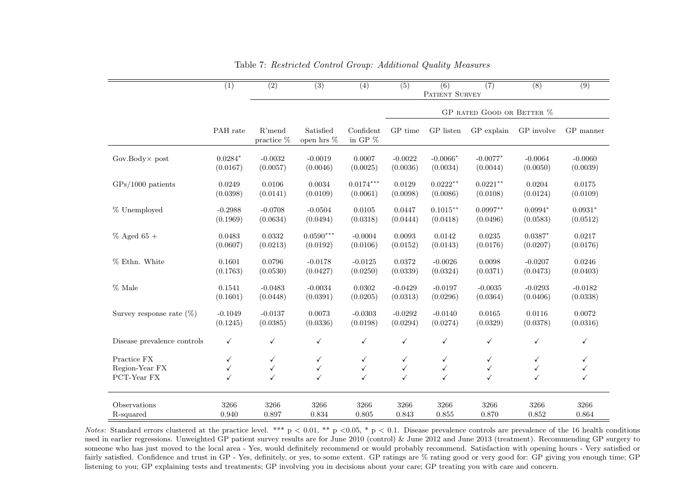|                             | $\overline{(1)}$ | $\overline{(2)}$     | $\overline{(3)}$        | $\overline{(4)}$        | $\overline{(5)}$          | $\overline{(6)}$<br>PATIENT SURVEY | (7)          | $\overline{(8)}$ | $\overline{(9)}$ |
|-----------------------------|------------------|----------------------|-------------------------|-------------------------|---------------------------|------------------------------------|--------------|------------------|------------------|
|                             |                  |                      |                         |                         |                           |                                    |              |                  |                  |
|                             |                  |                      |                         |                         | GP RATED GOOD OR BETTER % |                                    |              |                  |                  |
|                             | PAH rate         | R'mend<br>practice % | Satisfied<br>open hrs % | Confident<br>in GP $\%$ | GP time                   | GP listen                          | GP explain   | GP involve       | GP manner        |
| $Gov.Body \times post$      | $0.0284*$        | $-0.0032$            | $-0.0019$               | 0.0007                  | $-0.0022$                 | $-0.0066*$                         | $-0.0077*$   | $-0.0064$        | $-0.0060$        |
|                             | (0.0167)         | (0.0057)             | (0.0046)                | (0.0025)                | (0.0036)                  | (0.0034)                           | (0.0044)     | (0.0050)         | (0.0039)         |
| $\text{GPs}/1000$ patients  | 0.0249           | 0.0106               | 0.0034                  | $0.0174***$             | 0.0129                    | $0.0222**$                         | $0.0221***$  | 0.0204           | 0.0175           |
|                             | (0.0398)         | (0.0141)             | (0.0109)                | (0.0061)                | (0.0098)                  | (0.0086)                           | (0.0108)     | (0.0124)         | (0.0109)         |
| % Unemployed                | $-0.2988$        | $-0.0708$            | $-0.0504$               | 0.0105                  | 0.0447                    | $0.1015***$                        | $0.0997**$   | $0.0994*$        | $0.0931*$        |
|                             | (0.1969)         | (0.0634)             | (0.0494)                | (0.0318)                | (0.0444)                  | (0.0418)                           | (0.0496)     | (0.0583)         | (0.0512)         |
| $\%$ Aged 65 +              | 0.0483           | 0.0332               | $0.0590***$             | $-0.0004$               | 0.0093                    | 0.0142                             | 0.0235       | $0.0387*$        | 0.0217           |
|                             | (0.0607)         | (0.0213)             | (0.0192)                | (0.0106)                | (0.0152)                  | (0.0143)                           | (0.0176)     | (0.0207)         | (0.0176)         |
| % Ethn. White               | 0.1601           | 0.0796               | $-0.0178$               | $-0.0125$               | 0.0372                    | $-0.0026$                          | 0.0098       | $-0.0207$        | 0.0246           |
|                             | (0.1763)         | (0.0530)             | (0.0427)                | (0.0250)                | (0.0339)                  | (0.0324)                           | (0.0371)     | (0.0473)         | (0.0403)         |
| % Male                      | 0.1541           | $-0.0483$            | $-0.0034$               | 0.0302                  | $-0.0429$                 | $-0.0197$                          | $-0.0035$    | $-0.0293$        | $-0.0182$        |
|                             | (0.1601)         | (0.0448)             | (0.0391)                | (0.0205)                | (0.0313)                  | (0.0296)                           | (0.0364)     | (0.0406)         | (0.0338)         |
| Survey response rate $(\%)$ | $-0.1049$        | $-0.0137$            | 0.0073                  | $-0.0303$               | $-0.0292$                 | $-0.0140$                          | 0.0165       | 0.0116           | 0.0072           |
|                             | (0.1245)         | (0.0385)             | (0.0336)                | (0.0198)                | (0.0294)                  | (0.0274)                           | (0.0329)     | (0.0378)         | (0.0316)         |
| Disease prevalence controls | ✓                | ✓                    | ✓                       | ✓                       | ✓                         | ✓                                  | ✓            | ✓                | ✓                |
| Practice FX                 | ✓                | ✓                    | ✓                       | ✓                       | ✓                         | ✓                                  | $\checkmark$ | ✓                |                  |
| Region-Year FX              | ✓                | $\checkmark$         | ✓                       | ✓                       | ✓                         | ✓                                  | $\checkmark$ | $\checkmark$     |                  |
| PCT-Year FX                 | ✓                | ✓                    | ✓                       | ✓                       | $\checkmark$              | $\checkmark$                       | ✓            | ✓                | ✓                |
| Observations                | 3266             | 3266                 | 3266                    | 3266                    | 3266                      | 3266                               | 3266         | 3266             | 3266             |
| R-squared                   | 0.940            | 0.897                | 0.834                   | 0.805                   | 0.843                     | 0.855                              | 0.870        | 0.852            | 0.864            |

Table 7: Restricted Control Group: Additional Quality Measures

<span id="page-29-0"></span>Notes: Standard errors clustered at the practice level. \*\*\*  $p < 0.01$ , \*\*  $p < 0.05$ , \*  $p < 0.1$ . Disease prevalence controls are prevalence of the 16 health conditions used in earlier regressions. Unweighted GP patient survey results are for June <sup>2010</sup> (control) & June <sup>2012</sup> and June <sup>2013</sup> (treatment). Recommending GP surgery to someone who has just moved to the local area - Yes, would definitely recommend or would probably recommend. Satisfaction with opening hours - Very satisfied orfairly satisfied. Confidence and trust in GP - Yes, definitely, or yes, to some extent. GP ratings are % rating good or very good for: GP giving you enough time; GP listening to you; GP explaining tests and treatments; GP involving you in decisions about your care; GP treating you with care and concern.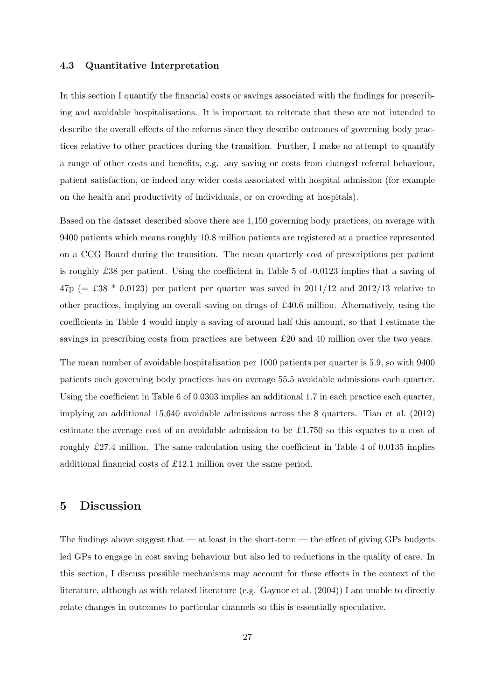#### 4.3 Quantitative Interpretation

In this section I quantify the financial costs or savings associated with the findings for prescribing and avoidable hospitalisations. It is important to reiterate that these are not intended to describe the overall effects of the reforms since they describe outcomes of governing body practices relative to other practices during the transition. Further, I make no attempt to quantify a range of other costs and benefits, e.g. any saving or costs from changed referral behaviour, patient satisfaction, or indeed any wider costs associated with hospital admission (for example on the health and productivity of individuals, or on crowding at hospitals).

Based on the dataset described above there are 1,150 governing body practices, on average with 9400 patients which means roughly 10.8 million patients are registered at a practice represented on a CCG Board during the transition. The mean quarterly cost of prescriptions per patient is roughly £38 per patient. Using the coefficient in Table [5](#page-28-0) of -0.0123 implies that a saving of  $47p (= £38 * 0.0123)$  per patient per quarter was saved in  $2011/12$  and  $2012/13$  relative to other practices, implying an overall saving on drugs of £40.6 million. Alternatively, using the coefficients in Table [4](#page-25-0) would imply a saving of around half this amount, so that I estimate the savings in prescribing costs from practices are between £20 and 40 million over the two years.

The mean number of avoidable hospitalisation per 1000 patients per quarter is 5.9, so with 9400 patients each governing body practices has on average 55.5 avoidable admissions each quarter. Using the coefficient in Table [6](#page-28-0) of 0.0303 implies an additional 1.7 in each practice each quarter, implying an additional 15,640 avoidable admissions across the 8 quarters. Tian et al. [\(2012\)](#page-36-6) estimate the average cost of an avoidable admission to be £1,750 so this equates to a cost of roughly £27.4 million. The same calculation using the coefficient in Table [4](#page-25-0) of 0.0135 implies additional financial costs of £12.1 million over the same period.

## 5 Discussion

The findings above suggest that  $-$  at least in the short-term  $-$  the effect of giving GPs budgets led GPs to engage in cost saving behaviour but also led to reductions in the quality of care. In this section, I discuss possible mechanisms may account for these effects in the context of the literature, although as with related literature (e.g. Gaynor et al. [\(2004\)](#page-34-6)) I am unable to directly relate changes in outcomes to particular channels so this is essentially speculative.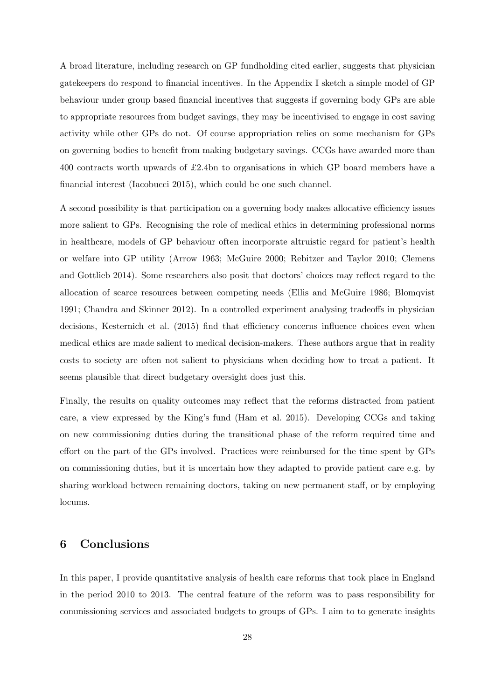A broad literature, including research on GP fundholding cited earlier, suggests that physician gatekeepers do respond to financial incentives. In the Appendix I sketch a simple model of GP behaviour under group based financial incentives that suggests if governing body GPs are able to appropriate resources from budget savings, they may be incentivised to engage in cost saving activity while other GPs do not. Of course appropriation relies on some mechanism for GPs on governing bodies to benefit from making budgetary savings. CCGs have awarded more than 400 contracts worth upwards of £2.4bn to organisations in which GP board members have a financial interest (Iacobucci [2015\)](#page-35-2), which could be one such channel.

A second possibility is that participation on a governing body makes allocative efficiency issues more salient to GPs. Recognising the role of medical ethics in determining professional norms in healthcare, models of GP behaviour often incorporate altruistic regard for patient's health or welfare into GP utility (Arrow [1963;](#page-33-9) McGuire [2000;](#page-35-13) Rebitzer and Taylor [2010;](#page-36-7) Clemens and Gottlieb [2014\)](#page-33-10). Some researchers also posit that doctors' choices may reflect regard to the allocation of scarce resources between competing needs (Ellis and McGuire [1986;](#page-34-0) Blomqvist [1991;](#page-33-0) Chandra and Skinner [2012\)](#page-33-11). In a controlled experiment analysing tradeoffs in physician decisions, Kesternich et al. [\(2015\)](#page-35-14) find that efficiency concerns influence choices even when medical ethics are made salient to medical decision-makers. These authors argue that in reality costs to society are often not salient to physicians when deciding how to treat a patient. It seems plausible that direct budgetary oversight does just this.

Finally, the results on quality outcomes may reflect that the reforms distracted from patient care, a view expressed by the King's fund (Ham et al. [2015\)](#page-34-9). Developing CCGs and taking on new commissioning duties during the transitional phase of the reform required time and effort on the part of the GPs involved. Practices were reimbursed for the time spent by GPs on commissioning duties, but it is uncertain how they adapted to provide patient care e.g. by sharing workload between remaining doctors, taking on new permanent staff, or by employing locums.

## 6 Conclusions

In this paper, I provide quantitative analysis of health care reforms that took place in England in the period 2010 to 2013. The central feature of the reform was to pass responsibility for commissioning services and associated budgets to groups of GPs. I aim to to generate insights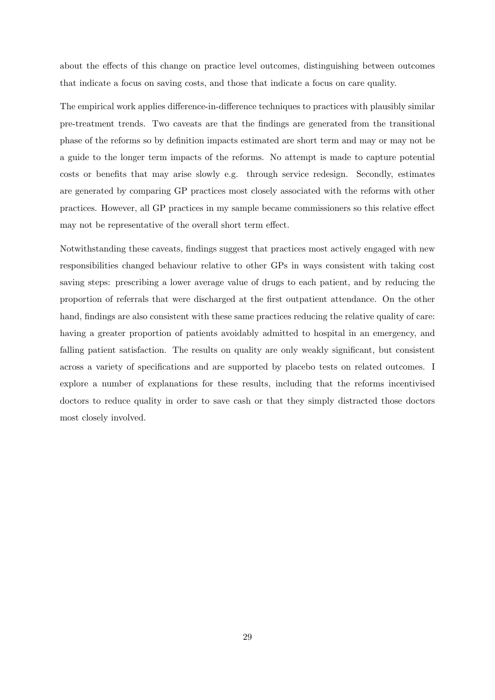about the effects of this change on practice level outcomes, distinguishing between outcomes that indicate a focus on saving costs, and those that indicate a focus on care quality.

The empirical work applies difference-in-difference techniques to practices with plausibly similar pre-treatment trends. Two caveats are that the findings are generated from the transitional phase of the reforms so by definition impacts estimated are short term and may or may not be a guide to the longer term impacts of the reforms. No attempt is made to capture potential costs or benefits that may arise slowly e.g. through service redesign. Secondly, estimates are generated by comparing GP practices most closely associated with the reforms with other practices. However, all GP practices in my sample became commissioners so this relative effect may not be representative of the overall short term effect.

Notwithstanding these caveats, findings suggest that practices most actively engaged with new responsibilities changed behaviour relative to other GPs in ways consistent with taking cost saving steps: prescribing a lower average value of drugs to each patient, and by reducing the proportion of referrals that were discharged at the first outpatient attendance. On the other hand, findings are also consistent with these same practices reducing the relative quality of care: having a greater proportion of patients avoidably admitted to hospital in an emergency, and falling patient satisfaction. The results on quality are only weakly significant, but consistent across a variety of specifications and are supported by placebo tests on related outcomes. I explore a number of explanations for these results, including that the reforms incentivised doctors to reduce quality in order to save cash or that they simply distracted those doctors most closely involved.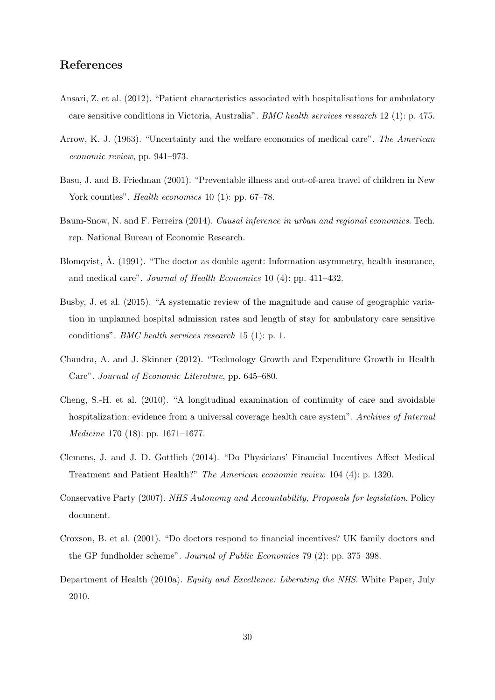## References

- <span id="page-33-7"></span>Ansari, Z. et al. (2012). "Patient characteristics associated with hospitalisations for ambulatory care sensitive conditions in Victoria, Australia". BMC health services research 12 (1): p. 475.
- <span id="page-33-9"></span>Arrow, K. J. (1963). "Uncertainty and the welfare economics of medical care". The American economic review, pp. 941–973.
- <span id="page-33-5"></span>Basu, J. and B. Friedman (2001). "Preventable illness and out-of-area travel of children in New York counties". *Health economics* 10 (1): pp. 67–78.
- <span id="page-33-8"></span>Baum-Snow, N. and F. Ferreira (2014). Causal inference in urban and regional economics. Tech. rep. National Bureau of Economic Research.
- <span id="page-33-0"></span>Blomqvist,  $\AA$ . (1991). "The doctor as double agent: Information asymmetry, health insurance, and medical care". Journal of Health Economics 10 (4): pp. 411–432.
- <span id="page-33-6"></span>Busby, J. et al. (2015). "A systematic review of the magnitude and cause of geographic variation in unplanned hospital admission rates and length of stay for ambulatory care sensitive conditions". BMC health services research 15 (1): p. 1.
- <span id="page-33-11"></span>Chandra, A. and J. Skinner (2012). "Technology Growth and Expenditure Growth in Health Care". Journal of Economic Literature, pp. 645–680.
- <span id="page-33-4"></span>Cheng, S.-H. et al. (2010). "A longitudinal examination of continuity of care and avoidable hospitalization: evidence from a universal coverage health care system". Archives of Internal Medicine 170 (18): pp. 1671–1677.
- <span id="page-33-10"></span>Clemens, J. and J. D. Gottlieb (2014). "Do Physicians' Financial Incentives Affect Medical Treatment and Patient Health?" The American economic review 104 (4): p. 1320.
- <span id="page-33-3"></span>Conservative Party (2007). NHS Autonomy and Accountability, Proposals for legislation. Policy document.
- <span id="page-33-1"></span>Croxson, B. et al. (2001). "Do doctors respond to financial incentives? UK family doctors and the GP fundholder scheme". Journal of Public Economics 79 (2): pp. 375–398.
- <span id="page-33-2"></span>Department of Health (2010a). Equity and Excellence: Liberating the NHS. White Paper, July 2010.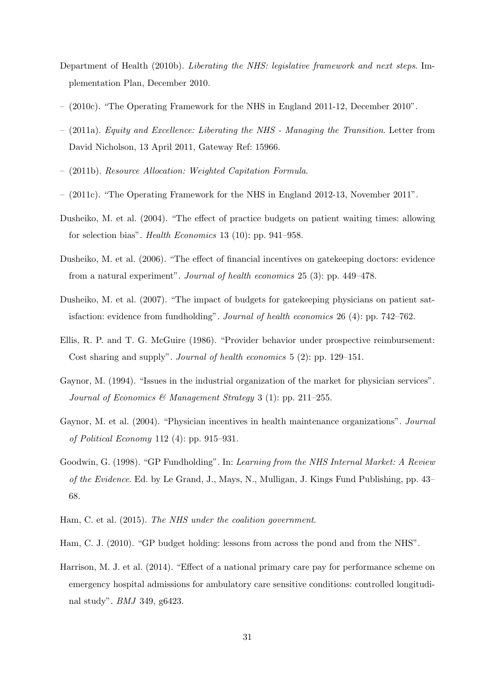- <span id="page-34-10"></span>Department of Health (2010b). Liberating the NHS: legislative framework and next steps. Implementation Plan, December 2010.
- <span id="page-34-12"></span>– (2010c). "The Operating Framework for the NHS in England 2011-12, December 2010".
- <span id="page-34-11"></span>– (2011a). Equity and Excellence: Liberating the NHS - Managing the Transition. Letter from David Nicholson, 13 April 2011, Gateway Ref: 15966.
- <span id="page-34-2"></span>– (2011b). Resource Allocation: Weighted Capitation Formula.
- <span id="page-34-13"></span>– (2011c). "The Operating Framework for the NHS in England 2012-13, November 2011".
- <span id="page-34-7"></span>Dusheiko, M. et al. (2004). "The effect of practice budgets on patient waiting times: allowing for selection bias". Health Economics 13 (10): pp. 941–958.
- <span id="page-34-4"></span>Dusheiko, M. et al. (2006). "The effect of financial incentives on gatekeeping doctors: evidence from a natural experiment". Journal of health economics 25 (3): pp. 449–478.
- <span id="page-34-8"></span>Dusheiko, M. et al. (2007). "The impact of budgets for gatekeeping physicians on patient satisfaction: evidence from fundholding". Journal of health economics 26 (4): pp. 742–762.
- <span id="page-34-0"></span>Ellis, R. P. and T. G. McGuire (1986). "Provider behavior under prospective reimbursement: Cost sharing and supply". Journal of health economics 5 (2): pp. 129–151.
- <span id="page-34-1"></span>Gaynor, M. (1994). "Issues in the industrial organization of the market for physician services". Journal of Economics & Management Strategy 3 (1): pp. 211–255.
- <span id="page-34-6"></span>Gaynor, M. et al. (2004). "Physician incentives in health maintenance organizations". Journal of Political Economy 112 (4): pp. 915–931.
- <span id="page-34-5"></span>Goodwin, G. (1998). "GP Fundholding". In: Learning from the NHS Internal Market: A Review of the Evidence. Ed. by Le Grand, J., Mays, N., Mulligan, J. Kings Fund Publishing, pp. 43– 68.
- <span id="page-34-9"></span>Ham, C. et al. (2015). The NHS under the coalition government.

<span id="page-34-3"></span>Ham, C. J. (2010). "GP budget holding: lessons from across the pond and from the NHS".

<span id="page-34-14"></span>Harrison, M. J. et al. (2014). "Effect of a national primary care pay for performance scheme on emergency hospital admissions for ambulatory care sensitive conditions: controlled longitudinal study". BMJ 349, g6423.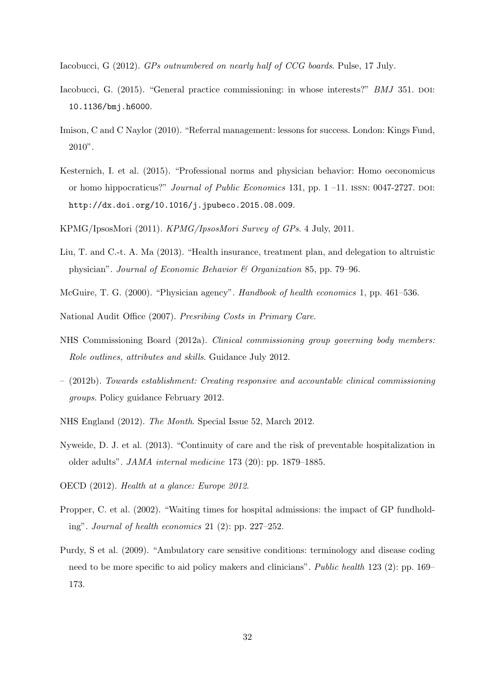<span id="page-35-0"></span>Iacobucci, G (2012). GPs outnumbered on nearly half of CCG boards. Pulse, 17 July.

- <span id="page-35-2"></span>Iacobucci, G. (2015). "General practice commissioning: in whose interests?" BMJ 351. DOI: [10.1136/bmj.h6000](http://dx.doi.org/10.1136/bmj.h6000).
- <span id="page-35-8"></span>Imison, C and C Naylor (2010). "Referral management: lessons for success. London: Kings Fund, 2010".
- <span id="page-35-14"></span>Kesternich, I. et al. (2015). "Professional norms and physician behavior: Homo oeconomicus or homo hippocraticus?" Journal of Public Economics 131, pp.  $1 - 11$ . ISSN: 0047-2727. DOI: [http://dx.doi.org/10.1016/j.jpubeco.2015.08.009](http://dx.doi.org/http://dx.doi.org/10.1016/j.jpubeco.2015.08.009).
- <span id="page-35-3"></span>KPMG/IpsosMori (2011). KPMG/IpsosMori Survey of GPs. 4 July, 2011.
- <span id="page-35-12"></span>Liu, T. and C.-t. A. Ma (2013). "Health insurance, treatment plan, and delegation to altruistic physician". Journal of Economic Behavior & Organization 85, pp. 79–96.
- <span id="page-35-13"></span>McGuire, T. G. (2000). "Physician agency". Handbook of health economics 1, pp. 461–536.
- <span id="page-35-7"></span>National Audit Office (2007). Presribing Costs in Primary Care.
- <span id="page-35-6"></span>NHS Commissioning Board (2012a). Clinical commissioning group governing body members: Role outlines, attributes and skills. Guidance July 2012.
- <span id="page-35-5"></span>– (2012b). Towards establishment: Creating responsive and accountable clinical commissioning groups. Policy guidance February 2012.
- <span id="page-35-4"></span>NHS England (2012). The Month. Special Issue 52, March 2012.
- <span id="page-35-10"></span>Nyweide, D. J. et al. (2013). "Continuity of care and the risk of preventable hospitalization in older adults". JAMA internal medicine 173 (20): pp. 1879–1885.
- <span id="page-35-9"></span>OECD (2012). Health at a glance: Europe 2012.
- <span id="page-35-1"></span>Propper, C. et al. (2002). "Waiting times for hospital admissions: the impact of GP fundholding". Journal of health economics 21 (2): pp. 227–252.
- <span id="page-35-11"></span>Purdy, S et al. (2009). "Ambulatory care sensitive conditions: terminology and disease coding need to be more specific to aid policy makers and clinicians". Public health 123 (2): pp. 169– 173.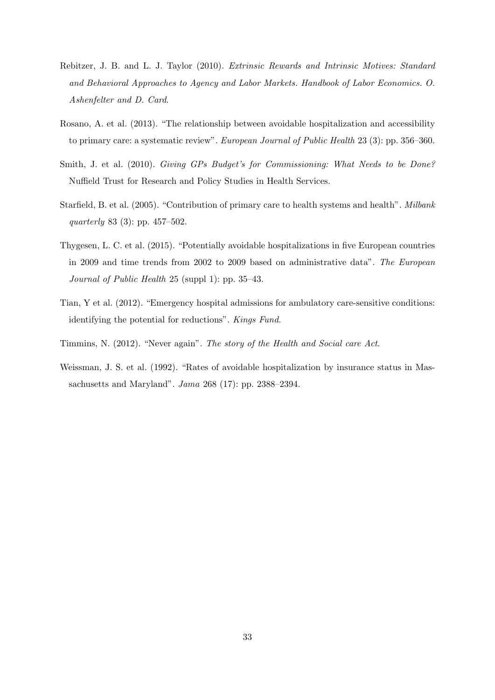- <span id="page-36-7"></span>Rebitzer, J. B. and L. J. Taylor (2010). Extrinsic Rewards and Intrinsic Motives: Standard and Behavioral Approaches to Agency and Labor Markets. Handbook of Labor Economics. O. Ashenfelter and D. Card.
- <span id="page-36-4"></span>Rosano, A. et al. (2013). "The relationship between avoidable hospitalization and accessibility to primary care: a systematic review". European Journal of Public Health 23 (3): pp. 356–360.
- <span id="page-36-1"></span>Smith, J. et al. (2010). Giving GPs Budget's for Commissioning: What Needs to be Done? Nuffield Trust for Research and Policy Studies in Health Services.
- <span id="page-36-3"></span>Starfield, B. et al. (2005). "Contribution of primary care to health systems and health". Milbank quarterly 83 (3): pp. 457–502.
- <span id="page-36-2"></span>Thygesen, L. C. et al. (2015). "Potentially avoidable hospitalizations in five European countries in 2009 and time trends from 2002 to 2009 based on administrative data". The European Journal of Public Health 25 (suppl 1): pp. 35–43.
- <span id="page-36-6"></span>Tian, Y et al. (2012). "Emergency hospital admissions for ambulatory care-sensitive conditions: identifying the potential for reductions". Kings Fund.
- <span id="page-36-0"></span>Timmins, N. (2012). "Never again". The story of the Health and Social care Act.
- <span id="page-36-5"></span>Weissman, J. S. et al. (1992). "Rates of avoidable hospitalization by insurance status in Massachusetts and Maryland". Jama 268 (17): pp. 2388–2394.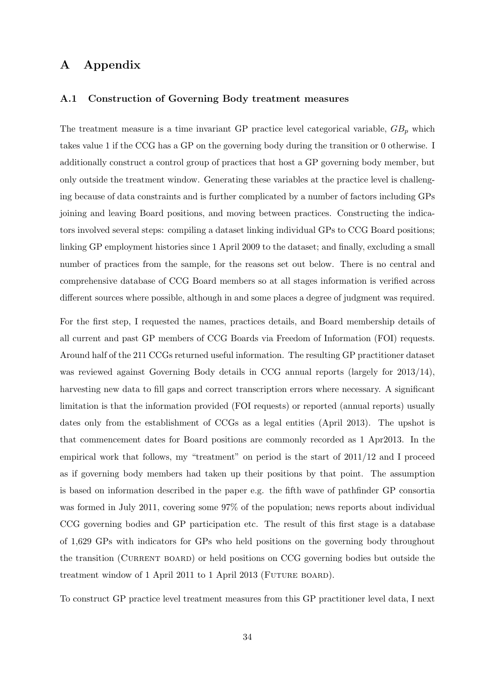## A Appendix

#### A.1 Construction of Governing Body treatment measures

The treatment measure is a time invariant GP practice level categorical variable,  $GB<sub>p</sub>$  which takes value 1 if the CCG has a GP on the governing body during the transition or 0 otherwise. I additionally construct a control group of practices that host a GP governing body member, but only outside the treatment window. Generating these variables at the practice level is challenging because of data constraints and is further complicated by a number of factors including GPs joining and leaving Board positions, and moving between practices. Constructing the indicators involved several steps: compiling a dataset linking individual GPs to CCG Board positions; linking GP employment histories since 1 April 2009 to the dataset; and finally, excluding a small number of practices from the sample, for the reasons set out below. There is no central and comprehensive database of CCG Board members so at all stages information is verified across different sources where possible, although in and some places a degree of judgment was required.

For the first step, I requested the names, practices details, and Board membership details of all current and past GP members of CCG Boards via Freedom of Information (FOI) requests. Around half of the 211 CCGs returned useful information. The resulting GP practitioner dataset was reviewed against Governing Body details in CCG annual reports (largely for 2013/14), harvesting new data to fill gaps and correct transcription errors where necessary. A significant limitation is that the information provided (FOI requests) or reported (annual reports) usually dates only from the establishment of CCGs as a legal entities (April 2013). The upshot is that commencement dates for Board positions are commonly recorded as 1 Apr2013. In the empirical work that follows, my "treatment" on period is the start of 2011/12 and I proceed as if governing body members had taken up their positions by that point. The assumption is based on information described in the paper e.g. the fifth wave of pathfinder GP consortia was formed in July 2011, covering some 97% of the population; news reports about individual CCG governing bodies and GP participation etc. The result of this first stage is a database of 1,629 GPs with indicators for GPs who held positions on the governing body throughout the transition (CURRENT BOARD) or held positions on CCG governing bodies but outside the treatment window of 1 April 2011 to 1 April 2013 (FUTURE BOARD).

To construct GP practice level treatment measures from this GP practitioner level data, I next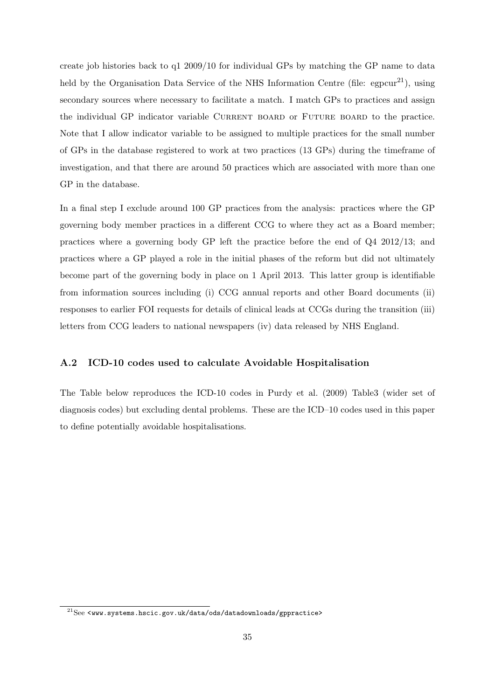create job histories back to q1 2009/10 for individual GPs by matching the GP name to data held by the Organisation Data Service of the NHS Information Centre (file:  $egpour<sup>21</sup>$  $egpour<sup>21</sup>$  $egpour<sup>21</sup>$ ), using secondary sources where necessary to facilitate a match. I match GPs to practices and assign the individual GP indicator variable CURRENT BOARD or FUTURE BOARD to the practice. Note that I allow indicator variable to be assigned to multiple practices for the small number of GPs in the database registered to work at two practices (13 GPs) during the timeframe of investigation, and that there are around 50 practices which are associated with more than one GP in the database.

In a final step I exclude around 100 GP practices from the analysis: practices where the GP governing body member practices in a different CCG to where they act as a Board member; practices where a governing body GP left the practice before the end of Q4 2012/13; and practices where a GP played a role in the initial phases of the reform but did not ultimately become part of the governing body in place on 1 April 2013. This latter group is identifiable from information sources including (i) CCG annual reports and other Board documents (ii) responses to earlier FOI requests for details of clinical leads at CCGs during the transition (iii) letters from CCG leaders to national newspapers (iv) data released by NHS England.

#### A.2 ICD-10 codes used to calculate Avoidable Hospitalisation

The Table below reproduces the ICD-10 codes in Purdy et al. [\(2009\)](#page-35-11) Table3 (wider set of diagnosis codes) but excluding dental problems. These are the ICD–10 codes used in this paper to define potentially avoidable hospitalisations.

<span id="page-38-0"></span> $^{21}$ See <<www.systems.hscic.gov.uk/data/ods/datadownloads/gppractice>>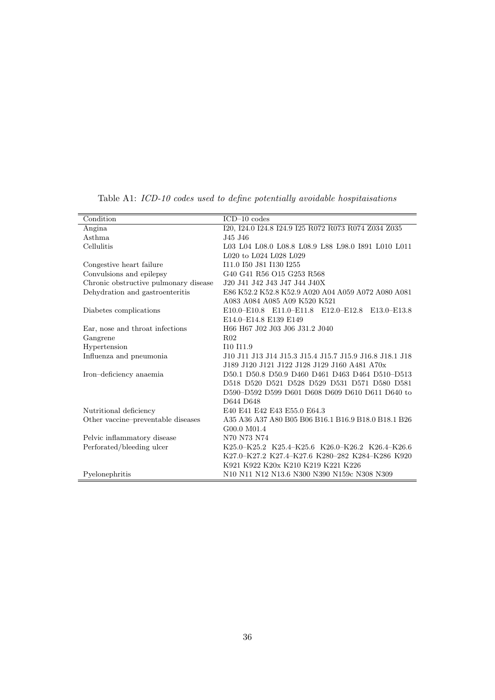| Condition                             | $ICD-10$ codes                                          |  |  |  |  |
|---------------------------------------|---------------------------------------------------------|--|--|--|--|
| Angina                                | I20, I24.0 I24.8 I24.9 I25 R072 R073 R074 Z034 Z035     |  |  |  |  |
| Asthma                                | J45 J46                                                 |  |  |  |  |
| Cellulitis                            | L03 L04 L08.0 L08.8 L08.9 L88 L98.0 I891 L010 L011      |  |  |  |  |
|                                       | L020 to L024 L028 L029                                  |  |  |  |  |
| Congestive heart failure              | I11.0 I50 J81 I130 I255                                 |  |  |  |  |
| Convulsions and epilepsy              | G40 G41 R56 O15 G253 R568                               |  |  |  |  |
| Chronic obstructive pulmonary disease | J20 J41 J42 J43 J47 J44 J40X                            |  |  |  |  |
| Dehydration and gastroenteritis       | E86 K52.2 K52.8 K52.9 A020 A04 A059 A072 A080 A081      |  |  |  |  |
|                                       | A083 A084 A085 A09 K520 K521                            |  |  |  |  |
| Diabetes complications                | E10.0–E10.8 E11.0–E11.8 E12.0–E12.8 E13.0–E13.8         |  |  |  |  |
|                                       | E14.0-E14.8 E139 E149                                   |  |  |  |  |
| Ear, nose and throat infections       | H66 H67 J02 J03 J06 J31.2 J040                          |  |  |  |  |
| Gangrene                              | R <sub>02</sub>                                         |  |  |  |  |
| Hypertension                          | I10 I11.9                                               |  |  |  |  |
| Influenza and pneumonia               | J10 J11 J13 J14 J15.3 J15.4 J15.7 J15.9 J16.8 J18.1 J18 |  |  |  |  |
|                                       | J189 J120 J121 J122 J128 J129 J160 A481 A70x            |  |  |  |  |
| Iron-deficiency anaemia               | D50.1 D50.8 D50.9 D460 D461 D463 D464 D510-D513         |  |  |  |  |
|                                       | D518 D520 D521 D528 D529 D531 D571 D580 D581            |  |  |  |  |
|                                       | D590-D592 D599 D601 D608 D609 D610 D611 D640 to         |  |  |  |  |
|                                       | D644 D648                                               |  |  |  |  |
| Nutritional deficiency                | E40 E41 E42 E43 E55.0 E64.3                             |  |  |  |  |
| Other vaccine-preventable diseases    | A35 A36 A37 A80 B05 B06 B16.1 B16.9 B18.0 B18.1 B26     |  |  |  |  |
|                                       | G00.0 M01.4                                             |  |  |  |  |
| Pelvic inflammatory disease           | N70 N73 N74                                             |  |  |  |  |
| Perforated/bleeding ulcer             | K25.0-K25.2 K25.4-K25.6 K26.0-K26.2 K26.4-K26.6         |  |  |  |  |
|                                       | K27.0-K27.2 K27.4-K27.6 K280-282 K284-K286 K920         |  |  |  |  |
|                                       | K921 K922 K20x K210 K219 K221 K226                      |  |  |  |  |
| Pyelonephritis                        | N10 N11 N12 N13.6 N300 N390 N159c N308 N309             |  |  |  |  |

Table A1: ICD-10 codes used to define potentially avoidable hospitaisations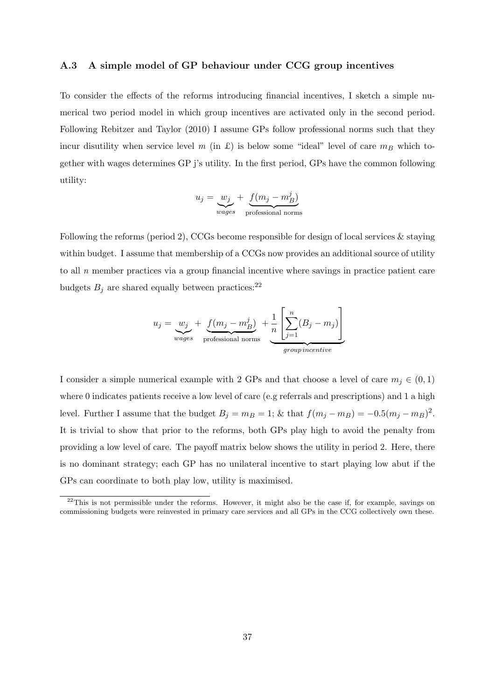#### A.3 A simple model of GP behaviour under CCG group incentives

To consider the effects of the reforms introducing financial incentives, I sketch a simple numerical two period model in which group incentives are activated only in the second period. Following Rebitzer and Taylor [\(2010\)](#page-36-7) I assume GPs follow professional norms such that they incur disutility when service level  $m$  (in £) is below some "ideal" level of care  $m_B$  which together with wages determines GP j's utility. In the first period, GPs have the common following utility:

$$
u_j = \underbrace{w_j}_{wages} + \underbrace{f(m_j - m_B^j)}_{\text{professional norms}}
$$

Following the reforms (period 2), CCGs become responsible for design of local services & staying within budget. I assume that membership of a CCGs now provides an additional source of utility to all  $n$  member practices via a group financial incentive where savings in practice patient care budgets  $B_i$  are shared equally between practices:<sup>[22](#page-40-0)</sup>

$$
u_j = \underbrace{w_j}_{wages} + \underbrace{f(m_j - m_B^j)}_{\text{professional norms}} + \underbrace{\frac{1}{n} \left[ \sum_{j=1}^n (B_j - m_j) \right]}_{\text{group incentive}}
$$

I consider a simple numerical example with 2 GPs and that choose a level of care  $m_j \in (0,1)$ where 0 indicates patients receive a low level of care (e.g referrals and prescriptions) and 1 a high level. Further I assume that the budget  $B_j = m_B = 1$ ; & that  $f(m_j - m_B) = -0.5(m_j - m_B)^2$ . It is trivial to show that prior to the reforms, both GPs play high to avoid the penalty from providing a low level of care. The payoff matrix below shows the utility in period 2. Here, there is no dominant strategy; each GP has no unilateral incentive to start playing low abut if the GPs can coordinate to both play low, utility is maximised.

<span id="page-40-0"></span><sup>&</sup>lt;sup>22</sup>This is not permissible under the reforms. However, it might also be the case if, for example, savings on commissioning budgets were reinvested in primary care services and all GPs in the CCG collectively own these.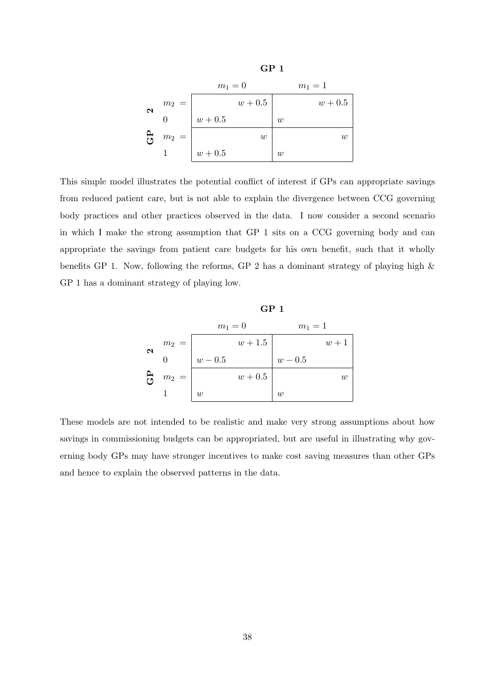

This simple model illustrates the potential conflict of interest if GPs can appropriate savings from reduced patient care, but is not able to explain the divergence between CCG governing body practices and other practices observed in the data. I now consider a second scenario in which I make the strong assumption that GP 1 sits on a CCG governing body and can appropriate the savings from patient care budgets for his own benefit, such that it wholly benefits GP 1. Now, following the reforms, GP 2 has a dominant strategy of playing high  $\&$ GP 1 has a dominant strategy of playing low.

|                       |              | GP <sub>1</sub> |           |           |                  |  |  |  |  |
|-----------------------|--------------|-----------------|-----------|-----------|------------------|--|--|--|--|
|                       |              | $m_1 = 0$       |           | $m_1 = 1$ |                  |  |  |  |  |
|                       | $m_2 =$      |                 | $w + 1.5$ |           | $w+1$            |  |  |  |  |
| $\boldsymbol{\alpha}$ | 0            | $w-0.5$         |           | $w-0.5$   |                  |  |  |  |  |
| පි                    | $m_2$        |                 | $w+0.5$   |           | $\boldsymbol{w}$ |  |  |  |  |
|                       | $\mathbf{1}$ | w               |           | w         |                  |  |  |  |  |

These models are not intended to be realistic and make very strong assumptions about how savings in commissioning budgets can be appropriated, but are useful in illustrating why governing body GPs may have stronger incentives to make cost saving measures than other GPs and hence to explain the observed patterns in the data.